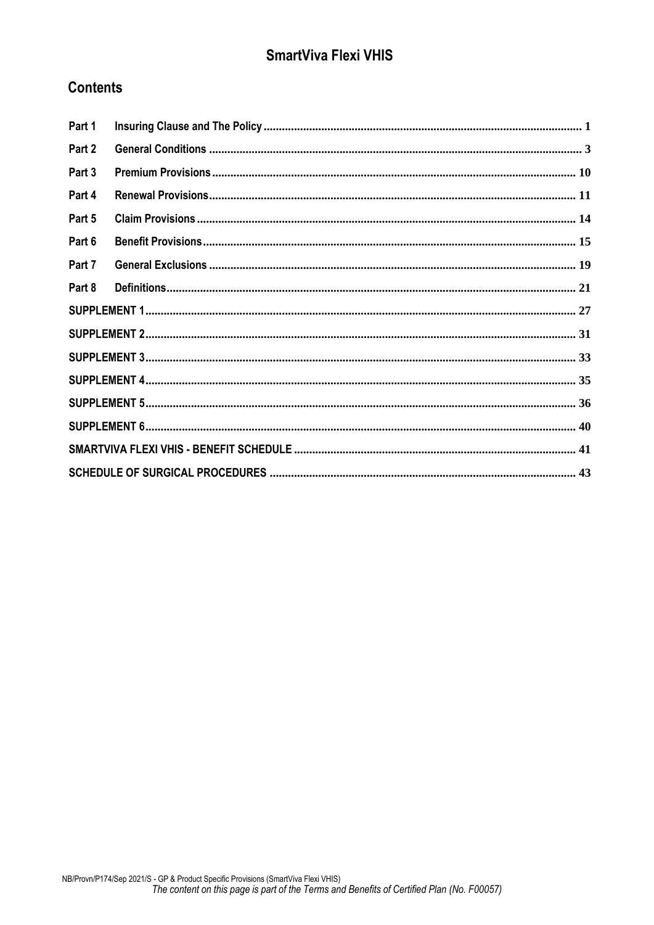# **SmartViva Flexi VHIS**

## **Contents**

| Part 1 |  |  |  |
|--------|--|--|--|
| Part 2 |  |  |  |
| Part 3 |  |  |  |
| Part 4 |  |  |  |
| Part 5 |  |  |  |
| Part 6 |  |  |  |
| Part 7 |  |  |  |
| Part 8 |  |  |  |
|        |  |  |  |
|        |  |  |  |
|        |  |  |  |
|        |  |  |  |
|        |  |  |  |
|        |  |  |  |
|        |  |  |  |
|        |  |  |  |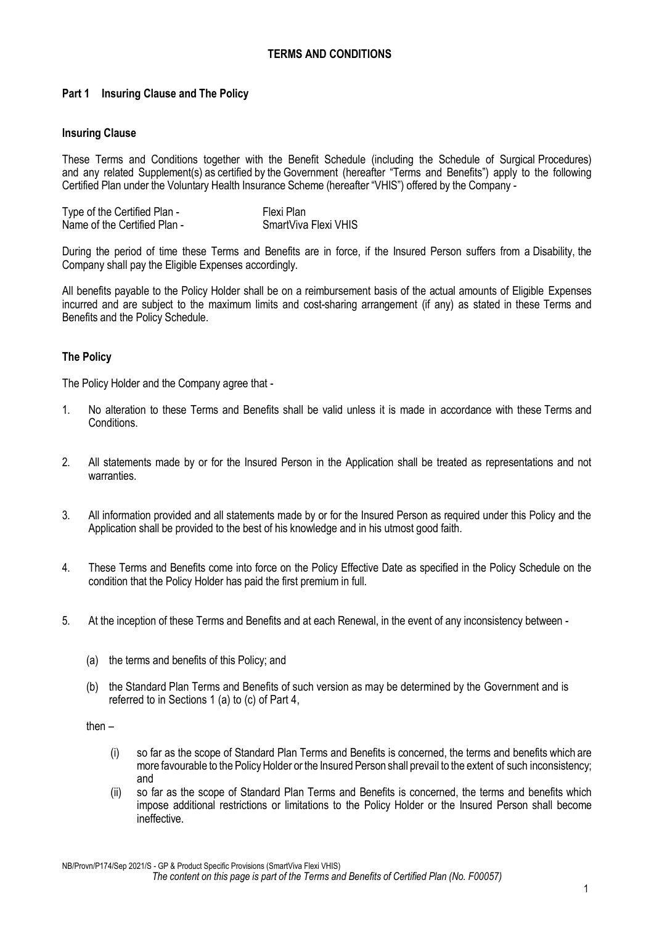## **TERMS AND CONDITIONS**

## <span id="page-1-0"></span>**Part 1 Insuring Clause and The Policy**

#### **Insuring Clause**

These Terms and Conditions together with the Benefit Schedule (including the Schedule of Surgical Procedures) and any related Supplement(s) as certified by the Government (hereafter "Terms and Benefits") apply to the following Certified Plan under the Voluntary Health Insurance Scheme (hereafter "VHIS") offered by the Company -

| Type of the Certified Plan - | Flexi Plan           |
|------------------------------|----------------------|
| Name of the Certified Plan - | SmartViva Flexi VHIS |

During the period of time these Terms and Benefits are in force, if the Insured Person suffers from a Disability, the Company shall pay the Eligible Expenses accordingly.

All benefits payable to the Policy Holder shall be on a reimbursement basis of the actual amounts of Eligible Expenses incurred and are subject to the maximum limits and cost-sharing arrangement (if any) as stated in these Terms and Benefits and the Policy Schedule.

## **The Policy**

The Policy Holder and the Company agree that -

- 1. No alteration to these Terms and Benefits shall be valid unless it is made in accordance with these Terms and Conditions.
- 2. All statements made by or for the Insured Person in the Application shall be treated as representations and not warranties.
- 3. All information provided and all statements made by or for the Insured Person as required under this Policy and the Application shall be provided to the best of his knowledge and in his utmost good faith.
- 4. These Terms and Benefits come into force on the Policy Effective Date as specified in the Policy Schedule on the condition that the Policy Holder has paid the first premium in full.
- 5. At the inception of these Terms and Benefits and at each Renewal, in the event of any inconsistency between
	- (a) the terms and benefits of this Policy; and
	- (b) the Standard Plan Terms and Benefits of such version as may be determined by the Government and is referred to in Sections 1 (a) to (c) of Part 4,

then –

- (i) so far as the scope of Standard Plan Terms and Benefits is concerned, the terms and benefits which are more favourable to the Policy Holder or the Insured Person shall prevail to the extent of such inconsistency; and
- (ii) so far as the scope of Standard Plan Terms and Benefits is concerned, the terms and benefits which impose additional restrictions or limitations to the Policy Holder or the Insured Person shall become ineffective.

NB/Provn/P174/Sep 2021/S - GP & Product Specific Provisions (SmartViva Flexi VHIS) *The content on this page is part of the Terms and Benefits of Certified Plan (No. F00057)*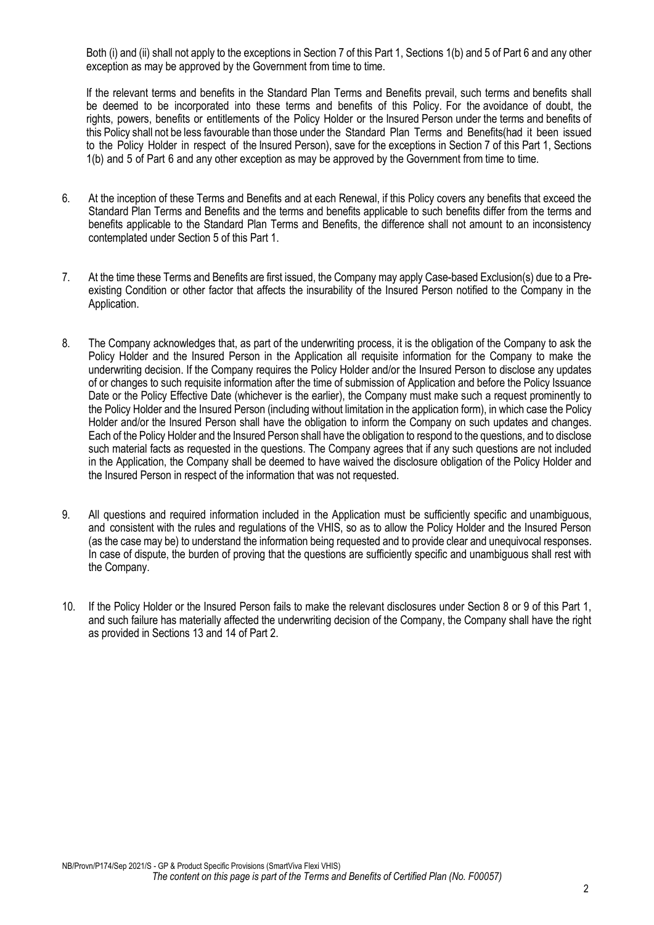Both (i) and (ii) shall not apply to the exceptions in Section 7 of this Part 1, Sections 1(b) and 5 of Part 6 and any other exception as may be approved by the Government from time to time.

If the relevant terms and benefits in the Standard Plan Terms and Benefits prevail, such terms and benefits shall be deemed to be incorporated into these terms and benefits of this Policy. For the avoidance of doubt, the rights, powers, benefits or entitlements of the Policy Holder or the Insured Person under the terms and benefits of this Policy shall not be less favourable than those under the Standard Plan Terms and Benefits(had it been issued to the Policy Holder in respect of the Insured Person), save for the exceptions in Section 7 of this Part 1, Sections 1(b) and 5 of Part 6 and any other exception as may be approved by the Government from time to time.

- 6. At the inception of these Terms and Benefits and at each Renewal, if this Policy covers any benefits that exceed the Standard Plan Terms and Benefits and the terms and benefits applicable to such benefits differ from the terms and benefits applicable to the Standard Plan Terms and Benefits, the difference shall not amount to an inconsistency contemplated under Section 5 of this Part 1.
- 7. At the time these Terms and Benefits are first issued, the Company may apply Case-based Exclusion(s) due to a Preexisting Condition or other factor that affects the insurability of the Insured Person notified to the Company in the Application.
- 8. The Company acknowledges that, as part of the underwriting process, it is the obligation of the Company to ask the Policy Holder and the Insured Person in the Application all requisite information for the Company to make the underwriting decision. If the Company requires the Policy Holder and/or the Insured Person to disclose any updates of or changes to such requisite information after the time of submission of Application and before the Policy Issuance Date or the Policy Effective Date (whichever is the earlier), the Company must make such a request prominently to the Policy Holder and the Insured Person (including without limitation in the application form), in which case the Policy Holder and/or the Insured Person shall have the obligation to inform the Company on such updates and changes. Each of the Policy Holder and the Insured Person shall have the obligation to respond to the questions, and to disclose such material facts as requested in the questions. The Company agrees that if any such questions are not included in the Application, the Company shall be deemed to have waived the disclosure obligation of the Policy Holder and the Insured Person in respect of the information that was not requested.
- 9. All questions and required information included in the Application must be sufficiently specific and unambiguous, and consistent with the rules and regulations of the VHIS, so as to allow the Policy Holder and the Insured Person (as the case may be) to understand the information being requested and to provide clear and unequivocal responses. In case of dispute, the burden of proving that the questions are sufficiently specific and unambiguous shall rest with the Company.
- 10. If the Policy Holder or the Insured Person fails to make the relevant disclosures under Section 8 or 9 of this Part 1, and such failure has materially affected the underwriting decision of the Company, the Company shall have the right as provided in Sections 13 and 14 of Part 2.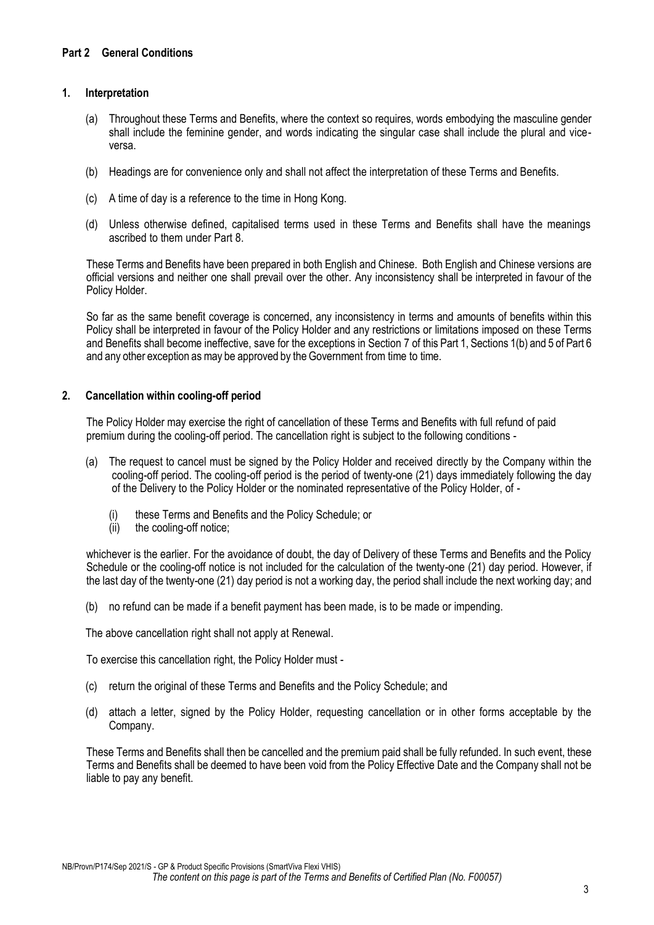## <span id="page-3-0"></span>**1. Interpretation**

- (a) Throughout these Terms and Benefits, where the context so requires, words embodying the masculine gender shall include the feminine gender, and words indicating the singular case shall include the plural and viceversa.
- (b) Headings are for convenience only and shall not affect the interpretation of these Terms and Benefits.
- (c) A time of day is a reference to the time in Hong Kong.
- (d) Unless otherwise defined, capitalised terms used in these Terms and Benefits shall have the meanings ascribed to them under Part 8.

These Terms and Benefits have been prepared in both English and Chinese. Both English and Chinese versions are official versions and neither one shall prevail over the other. Any inconsistency shall be interpreted in favour of the Policy Holder.

So far as the same benefit coverage is concerned, any inconsistency in terms and amounts of benefits within this Policy shall be interpreted in favour of the Policy Holder and any restrictions or limitations imposed on these Terms and Benefits shall become ineffective, save for the exceptions in Section 7 of this Part 1, Sections 1(b) and 5 of Part 6 and any other exception as may be approved by the Government from time to time.

## **2. Cancellation within cooling-off period**

The Policy Holder may exercise the right of cancellation of these Terms and Benefits with full refund of paid premium during the cooling-off period. The cancellation right is subject to the following conditions -

- (a) The request to cancel must be signed by the Policy Holder and received directly by the Company within the cooling-off period. The cooling-off period is the period of twenty-one (21) days immediately following the day of the Delivery to the Policy Holder or the nominated representative of the Policy Holder, of -
	- (i) these Terms and Benefits and the Policy Schedule; or
	- (ii) the cooling-off notice;

whichever is the earlier. For the avoidance of doubt, the day of Delivery of these Terms and Benefits and the Policy Schedule or the cooling-off notice is not included for the calculation of the twenty-one (21) day period. However, if the last day of the twenty-one (21) day period is not a working day, the period shall include the next working day; and

(b) no refund can be made if a benefit payment has been made, is to be made or impending.

The above cancellation right shall not apply at Renewal.

To exercise this cancellation right, the Policy Holder must -

- (c) return the original of these Terms and Benefits and the Policy Schedule; and
- (d) attach a letter, signed by the Policy Holder, requesting cancellation or in other forms acceptable by the Company.

These Terms and Benefits shall then be cancelled and the premium paid shall be fully refunded. In such event, these Terms and Benefits shall be deemed to have been void from the Policy Effective Date and the Company shall not be liable to pay any benefit.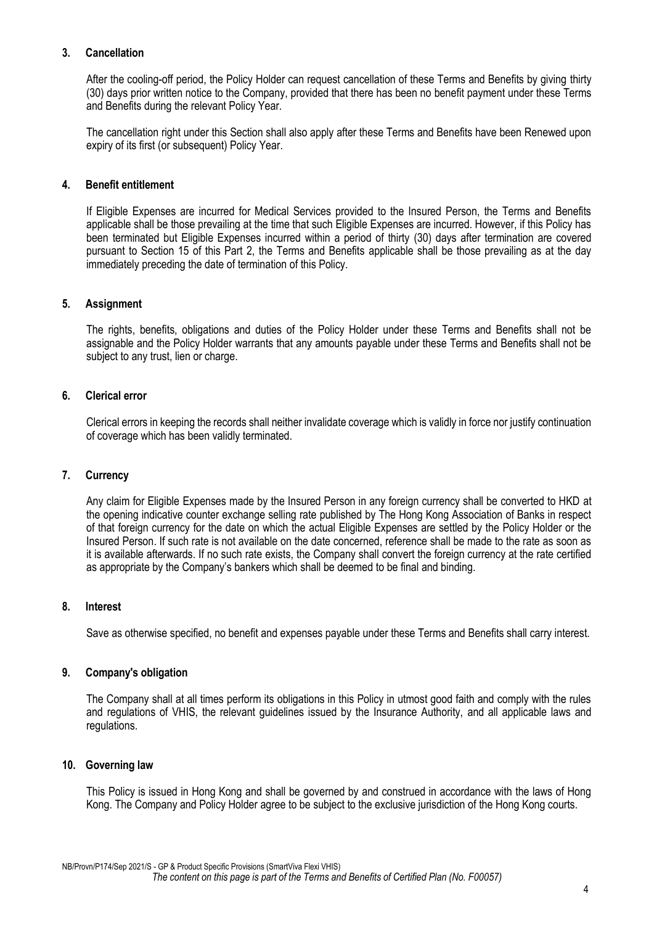## **3. Cancellation**

After the cooling-off period, the Policy Holder can request cancellation of these Terms and Benefits by giving thirty (30) days prior written notice to the Company, provided that there has been no benefit payment under these Terms and Benefits during the relevant Policy Year.

The cancellation right under this Section shall also apply after these Terms and Benefits have been Renewed upon expiry of its first (or subsequent) Policy Year.

#### **4. Benefit entitlement**

If Eligible Expenses are incurred for Medical Services provided to the Insured Person, the Terms and Benefits applicable shall be those prevailing at the time that such Eligible Expenses are incurred. However, if this Policy has been terminated but Eligible Expenses incurred within a period of thirty (30) days after termination are covered pursuant to Section 15 of this Part 2, the Terms and Benefits applicable shall be those prevailing as at the day immediately preceding the date of termination of this Policy.

#### **5. Assignment**

The rights, benefits, obligations and duties of the Policy Holder under these Terms and Benefits shall not be assignable and the Policy Holder warrants that any amounts payable under these Terms and Benefits shall not be subject to any trust, lien or charge.

#### **6. Clerical error**

Clerical errors in keeping the records shall neither invalidate coverage which is validly in force nor justify continuation of coverage which has been validly terminated.

#### **7. Currency**

Any claim for Eligible Expenses made by the Insured Person in any foreign currency shall be converted to HK[D](#page-4-0) at the opening indicative counter exchange selling rate published by The Hong Kong Association of Banks in respect of that foreign currency for the date on which the actual Eligible Expenses are settled by the Policy Holder or the Insured Person. If such rate is not available on the date concerned, reference shall be made to the rate as soon as it is available afterwards. If no such rate exists, the Company shall convert the foreign currency at the rate certified as appropriate by the Company's bankers which shall be deemed to be final and binding.

#### <span id="page-4-0"></span>**8. Interest**

Save as otherwise specified, no benefit and expenses payable under these Terms and Benefits shall carry interest.

#### **9. Company's obligation**

The Company shall at all times perform its obligations in this Policy in utmost good faith and comply with the rules and regulations of VHIS, the relevant guidelines issued by the Insurance Authority, and all applicable laws and regulations.

#### **10. Governing law**

This Policy is issued in Hong Kong and shall be governed by and construed in accordance with the laws of Hong Kong. The Company and Policy Holder agree to be subject to the exclusive jurisdiction of the Hong Kong courts.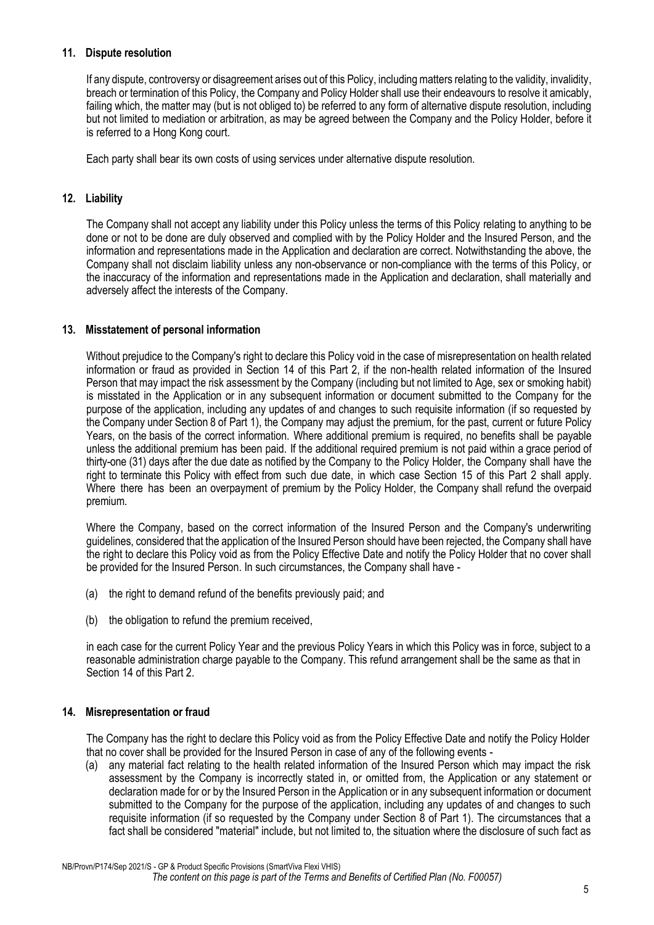## **11. Dispute resolution**

If any dispute, controversy or disagreement arises out of this Policy, including matters relating to the validity, invalidity, breach or termination of this Policy, the Company and Policy Holder shall use their endeavours to resolve it amicably, failing which, the matter may (but is not obliged to) be referred to any form of alternative dispute resolution, including but not limited to mediation or arbitration, as may be agreed between the Company and the Policy Holder, before it is referred to a Hong Kong court.

Each party shall bear its own costs of using services under alternative dispute resolution.

#### **12. Liability**

The Company shall not accept any liability under this Policy unless the terms of this Policy relating to anything to be done or not to be done are duly observed and complied with by the Policy Holder and the Insured Person, and the information and representations made in the Application and declaration are correct. Notwithstanding the above, the Company shall not disclaim liability unless any non-observance or non-compliance with the terms of this Policy, or the inaccuracy of the information and representations made in the Application and declaration, shall materially and adversely affect the interests of the Company.

## **13. Misstatement of personal information**

Without prejudice to the Company's right to declare this Policy void in the case of misrepresentation on health related information or fraud as provided in Section 14 of this Part 2, if the non-health related information of the Insured Person that may impact the risk assessment by the Company (including but not limited to Age, sex or smoking habit) is misstated in the Application or in any subsequent information or document submitted to the Company for the purpose of the application, including any updates of and changes to such requisite information (if so requested by the Company under Section 8 of Part 1), the Company may adjust the premium, for the past, current or future Policy Years, on the basis of the correct information. Where additional premium is required, no benefits shall be payable unless the additional premium has been paid. If the additional required premium is not paid within a grace period of thirty-one (31) days after the due date as notified by the Company to the Policy Holder, the Company shall have the right to terminate this Policy with effect from such due date, in which case Section 15 of this Part 2 shall apply. Where there has been an overpayment of premium by the Policy Holder, the Company shall refund the overpaid premium.

Where the Company, based on the correct information of the Insured Person and the Company's underwriting guidelines, considered that the application of the Insured Person should have been rejected, the Company shall have the right to declare this Policy void as from the Policy Effective Date and notify the Policy Holder that no cover shall be provided for the Insured Person. In such circumstances, the Company shall have -

- (a) the right to demand refund of the benefits previously paid; and
- (b) the obligation to refund the premium received,

in each case for the current Policy Year and the previous Policy Years in which this Policy was in force, subject to a reasonable administration charge payable to the Company. This refund arrangement shall be the same as that in Section 14 of this Part 2.

#### **14. Misrepresentation or fraud**

The Company has the right to declare this Policy void as from the Policy Effective Date and notify the Policy Holder that no cover shall be provided for the Insured Person in case of any of the following events -

(a) any material fact relating to the health related information of the Insured Person which may impact the risk assessment by the Company is incorrectly stated in, or omitted from, the Application or any statement or declaration made for or by the Insured Person in the Application or in any subsequent information or document submitted to the Company for the purpose of the application, including any updates of and changes to such requisite information (if so requested by the Company under Section 8 of Part 1). The circumstances that a fact shall be considered "material" include, but not limited to, the situation where the disclosure of such fact as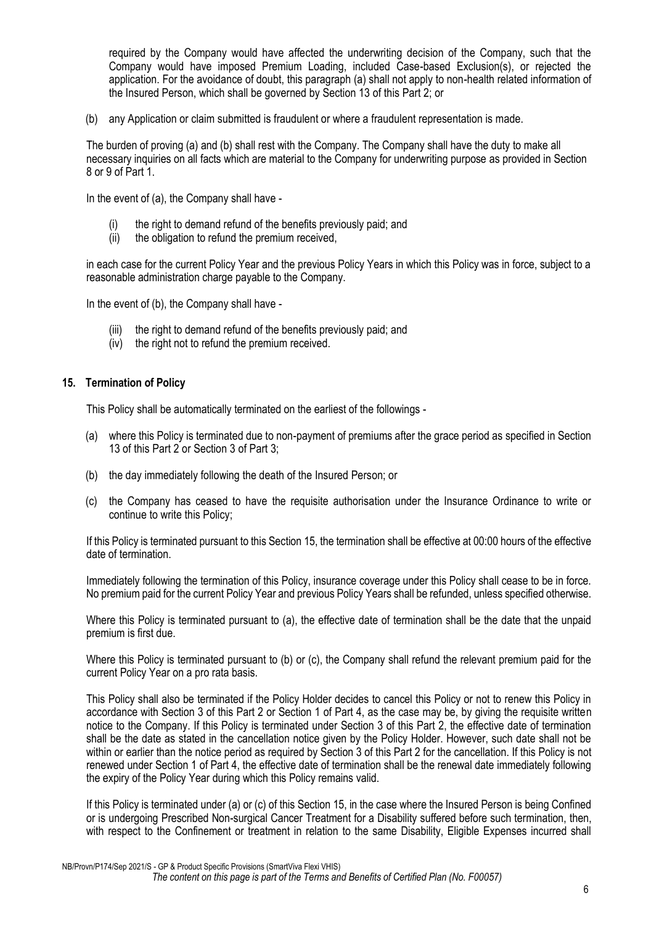required by the Company would have affected the underwriting decision of the Company, such that the Company would have imposed Premium Loading, included Case-based Exclusion(s), or rejected the application. For the avoidance of doubt, this paragraph (a) shall not apply to non-health related information of the Insured Person, which shall be governed by Section 13 of this Part 2; or

(b) any Application or claim submitted is fraudulent or where a fraudulent representation is made.

The burden of proving (a) and (b) shall rest with the Company. The Company shall have the duty to make all necessary inquiries on all facts which are material to the Company for underwriting purpose as provided in Section 8 or 9 of Part 1.

In the event of (a), the Company shall have -

- (i) the right to demand refund of the benefits previously paid; and (ii) the obligation to refund the premium received.
- the obligation to refund the premium received,

in each case for the current Policy Year and the previous Policy Years in which this Policy was in force, subject to a reasonable administration charge payable to the Company.

In the event of (b), the Company shall have -

- (iii) the right to demand refund of the benefits previously paid; and
- (iv) the right not to refund the premium received.

#### **15. Termination of Policy**

This Policy shall be automatically terminated on the earliest of the followings -

- (a) where this Policy is terminated due to non-payment of premiums after the grace period as specified in Section 13 of this Part 2 or Section 3 of Part 3;
- (b) the day immediately following the death of the Insured Person; or
- (c) the Company has ceased to have the requisite authorisation under the Insurance Ordinance to write or continue to write this Policy;

If this Policy is terminated pursuant to this Section 15, the termination shall be effective at 00:00 hours of the effective date of termination.

Immediately following the termination of this Policy, insurance coverage under this Policy shall cease to be in force. No premium paid for the current Policy Year and previous Policy Years shall be refunded, unless specified otherwise.

Where this Policy is terminated pursuant to (a), the effective date of termination shall be the date that the unpaid premium is first due.

Where this Policy is terminated pursuant to (b) or (c), the Company shall refund the relevant premium paid for the current Policy Year on a pro rata basis.

This Policy shall also be terminated if the Policy Holder decides to cancel this Policy or not to renew this Policy in accordance with Section 3 of this Part 2 or Section 1 of Part 4, as the case may be, by giving the requisite written notice to the Company. If this Policy is terminated under Section 3 of this Part 2, the effective date of termination shall be the date as stated in the cancellation notice given by the Policy Holder. However, such date shall not be within or earlier than the notice period as required by Section 3 of this Part 2 for the cancellation. If this Policy is not renewed under Section 1 of Part 4, the effective date of termination shall be the renewal date immediately following the expiry of the Policy Year during which this Policy remains valid.

If this Policy is terminated under (a) or (c) of this Section 15, in the case where the Insured Person is being Confined or is undergoing Prescribed Non-surgical Cancer Treatment for a Disability suffered before such termination, then, with respect to the Confinement or treatment in relation to the same Disability, Eligible Expenses incurred shall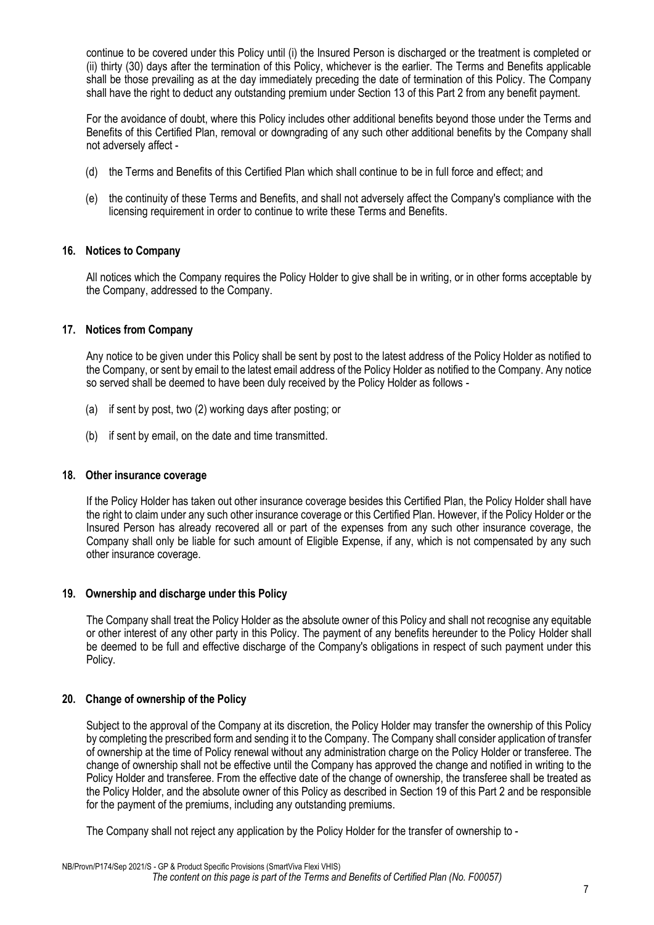continue to be covered under this Policy until (i) the Insured Person is discharged or the treatment is completed or (ii) thirty (30) days after the termination of this Policy, whichever is the earlier. The Terms and Benefits applicable shall be those prevailing as at the day immediately preceding the date of termination of this Policy. The Company shall have the right to deduct any outstanding premium under Section 13 of this Part 2 from any benefit payment.

For the avoidance of doubt, where this Policy includes other additional benefits beyond those under the Terms and Benefits of this Certified Plan, removal or downgrading of any such other additional benefits by the Company shall not adversely affect -

- (d) the Terms and Benefits of this Certified Plan which shall continue to be in full force and effect; and
- (e) the continuity of these Terms and Benefits, and shall not adversely affect the Company's compliance with the licensing requirement in order to continue to write these Terms and Benefits.

## **16. Notices to Company**

All notices which the Company requires the Policy Holder to give shall be in writing, or in other forms acceptable by the Company, addressed to the Company.

## **17. Notices from Company**

Any notice to be given under this Policy shall be sent by post to the latest address of the Policy Holder as notified to the Company, or sent by email to the latest email address of the Policy Holder as notified to the Company. Any notice so served shall be deemed to have been duly received by the Policy Holder as follows -

- (a) if sent by post, two (2) working days after posting; or
- (b) if sent by email, on the date and time transmitted.

#### **18. Other insurance coverage**

If the Policy Holder has taken out other insurance coverage besides this Certified Plan, the Policy Holder shall have the right to claim under any such other insurance coverage or this Certified Plan. However, if the Policy Holder or the Insured Person has already recovered all or part of the expenses from any such other insurance coverage, the Company shall only be liable for such amount of Eligible Expense, if any, which is not compensated by any such other insurance coverage.

#### **19. Ownership and discharge under this Policy**

The Company shall treat the Policy Holder as the absolute owner of this Policy and shall not recognise any equitable or other interest of any other party in this Policy. The payment of any benefits hereunder to the Policy Holder shall be deemed to be full and effective discharge of the Company's obligations in respect of such payment under this Policy.

#### **20. Change of ownership of the Policy**

Subject to the approval of the Company at its discretion, the Policy Holder may transfer the ownership of this Policy by completing the prescribed form and sending it to the Company. The Company shall consider application of transfer of ownership at the time of Policy renewal without any administration charge on the Policy Holder or transferee. The change of ownership shall not be effective until the Company has approved the change and notified in writing to the Policy Holder and transferee. From the effective date of the change of ownership, the transferee shall be treated as the Policy Holder, and the absolute owner of this Policy as described in Section 19 of this Part 2 and be responsible for the payment of the premiums, including any outstanding premiums.

The Company shall not reject any application by the Policy Holder for the transfer of ownership to -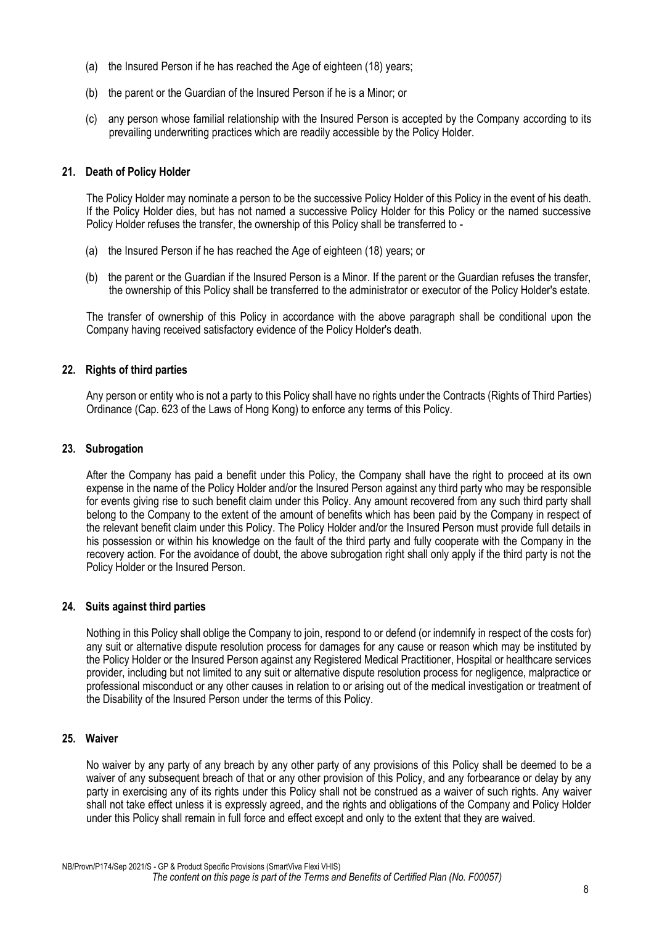- (a) the Insured Person if he has reached the Age of eighteen (18) years;
- (b) the parent or the Guardian of the Insured Person if he is a Minor; or
- (c) any person whose familial relationship with the Insured Person is accepted by the Company according to its prevailing underwriting practices which are readily accessible by the Policy Holder.

## **21. Death of Policy Holder**

The Policy Holder may nominate a person to be the successive Policy Holder of this Policy in the event of his death. If the Policy Holder dies, but has not named a successive Policy Holder for this Policy or the named successive Policy Holder refuses the transfer, the ownership of this Policy shall be transferred to -

- (a) the Insured Person if he has reached the Age of eighteen (18) years; or
- (b) the parent or the Guardian if the Insured Person is a Minor. If the parent or the Guardian refuses the transfer, the ownership of this Policy shall be transferred to the administrator or executor of the Policy Holder's estate.

The transfer of ownership of this Policy in accordance with the above paragraph shall be conditional upon the Company having received satisfactory evidence of the Policy Holder's death.

## **22. Rights of third parties**

Any person or entity who is not a party to this Policy shall have no rights under the Contracts (Rights of Third Parties) Ordinance (Cap. 623 of the Laws of Hong Kong) to enforce any terms of this Policy.

## **23. Subrogation**

After the Company has paid a benefit under this Policy, the Company shall have the right to proceed at its own expense in the name of the Policy Holder and/or the Insured Person against any third party who may be responsible for events giving rise to such benefit claim under this Policy. Any amount recovered from any such third party shall belong to the Company to the extent of the amount of benefits which has been paid by the Company in respect of the relevant benefit claim under this Policy. The Policy Holder and/or the Insured Person must provide full details in his possession or within his knowledge on the fault of the third party and fully cooperate with the Company in the recovery action. For the avoidance of doubt, the above subrogation right shall only apply if the third party is not the Policy Holder or the Insured Person.

#### **24. Suits against third parties**

Nothing in this Policy shall oblige the Company to join, respond to or defend (or indemnify in respect of the costs for) any suit or alternative dispute resolution process for damages for any cause or reason which may be instituted by the Policy Holder or the Insured Person against any Registered Medical Practitioner, Hospital or healthcare services provider, including but not limited to any suit or alternative dispute resolution process for negligence, malpractice or professional misconduct or any other causes in relation to or arising out of the medical investigation or treatment of the Disability of the Insured Person under the terms of this Policy.

## **25. Waiver**

No waiver by any party of any breach by any other party of any provisions of this Policy shall be deemed to be a waiver of any subsequent breach of that or any other provision of this Policy, and any forbearance or delay by any party in exercising any of its rights under this Policy shall not be construed as a waiver of such rights. Any waiver shall not take effect unless it is expressly agreed, and the rights and obligations of the Company and Policy Holder under this Policy shall remain in full force and effect except and only to the extent that they are waived.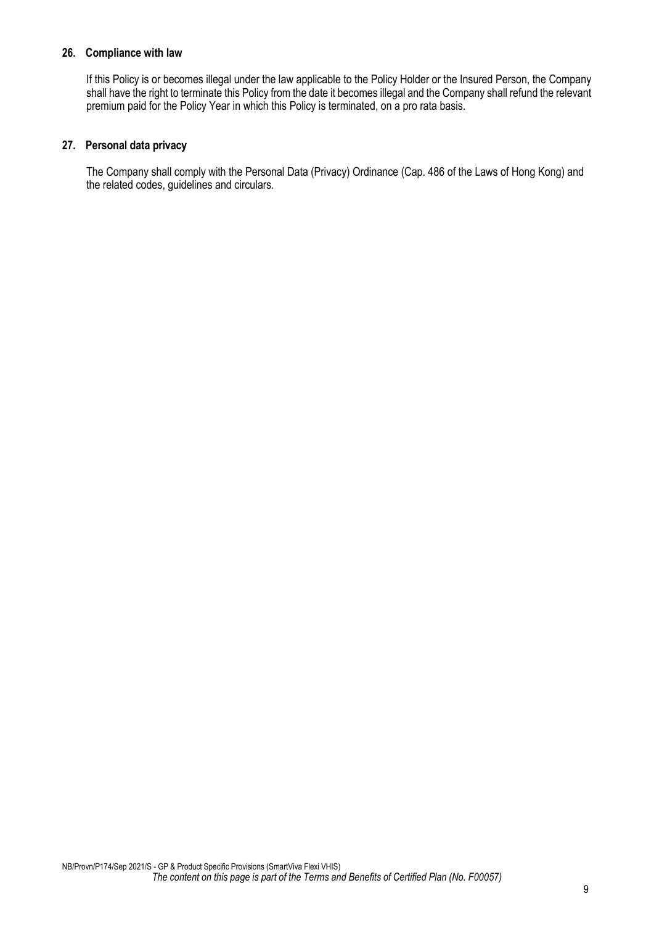## **26. Compliance with law**

If this Policy is or becomes illegal under the law applicable to the Policy Holder or the Insured Person, the Company shall have the right to terminate this Policy from the date it becomes illegal and the Company shall refund the relevant premium paid for the Policy Year in which this Policy is terminated, on a pro rata basis.

## **27. Personal data privacy**

The Company shall comply with the Personal Data (Privacy) Ordinance (Cap. 486 of the Laws of Hong Kong) and the related codes, guidelines and circulars.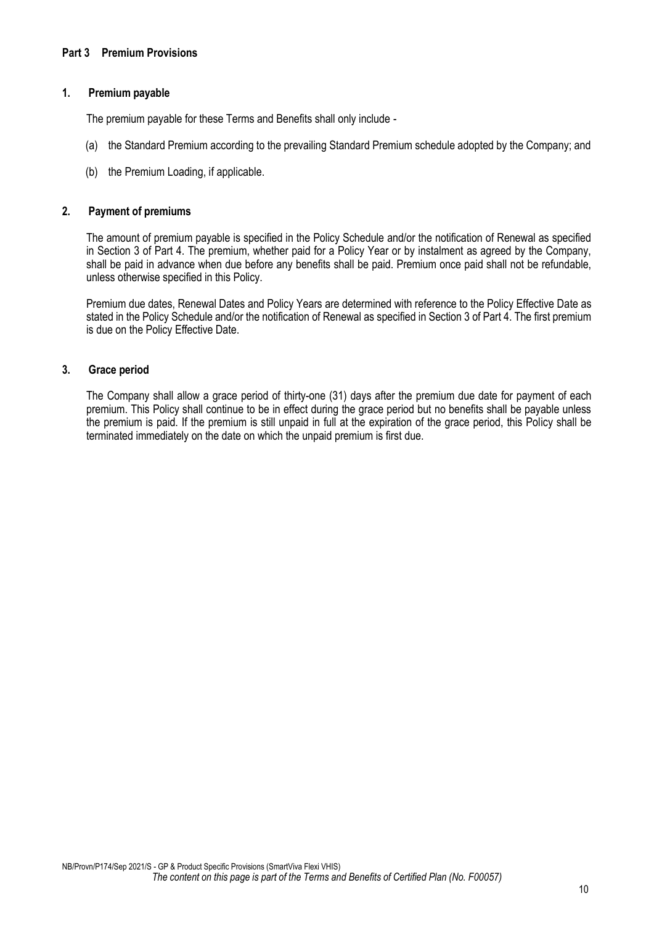## <span id="page-10-0"></span>**1. Premium payable**

The premium payable for these Terms and Benefits shall only include -

- (a) the Standard Premium according to the prevailing Standard Premium schedule adopted by the Company; and
- (b) the Premium Loading, if applicable.

#### **2. Payment of premiums**

The amount of premium payable is specified in the Policy Schedule and/or the notification of Renewal as specified in Section 3 of Part 4. The premium, whether paid for a Policy Year or by instalment as agreed by the Company, shall be paid in advance when due before any benefits shall be paid. Premium once paid shall not be refundable, unless otherwise specified in this Policy.

Premium due dates, Renewal Dates and Policy Years are determined with reference to the Policy Effective Date as stated in the Policy Schedule and/or the notification of Renewal as specified in Section 3 of Part 4. The first premium is due on the Policy Effective Date.

## **3. Grace period**

The Company shall allow a grace period of thirty-one (31) days after the premium due date for payment of each premium. This Policy shall continue to be in effect during the grace period but no benefits shall be payable unless the premium is paid. If the premium is still unpaid in full at the expiration of the grace period, this Policy shall be terminated immediately on the date on which the unpaid premium is first due.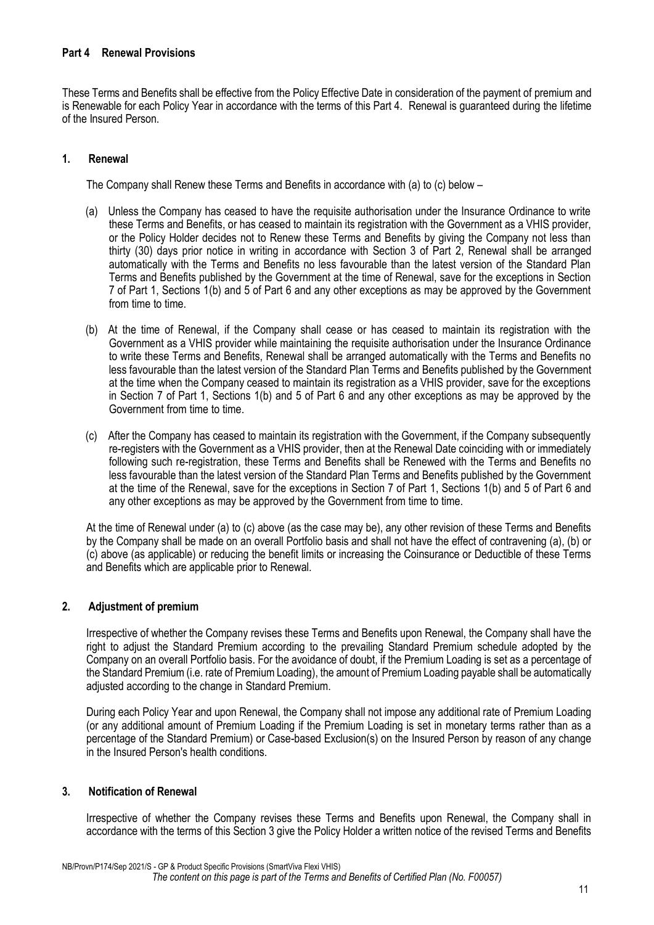## <span id="page-11-0"></span>**Part 4 Renewal Provisions**

These Terms and Benefits shall be effective from the Policy Effective Date in consideration of the payment of premium and is Renewable for each Policy Year in accordance with the terms of this Part 4. Renewal is guaranteed during the lifetime of the Insured Person.

## **1. Renewal**

The Company shall Renew these Terms and Benefits in accordance with (a) to (c) below –

- (a) Unless the Company has ceased to have the requisite authorisation under the Insurance Ordinance to write these Terms and Benefits, or has ceased to maintain its registration with the Government as a VHIS provider, or the Policy Holder decides not to Renew these Terms and Benefits by giving the Company not less than thirty (30) days prior notice in writing in accordance with Section 3 of Part 2, Renewal shall be arranged automatically with the Terms and Benefits no less favourable than the latest version of the Standard Plan Terms and Benefits published by the Government at the time of Renewal, save for the exceptions in Section 7 of Part 1, Sections 1(b) and 5 of Part 6 and any other exceptions as may be approved by the Government from time to time.
- (b) At the time of Renewal, if the Company shall cease or has ceased to maintain its registration with the Government as a VHIS provider while maintaining the requisite authorisation under the Insurance Ordinance to write these Terms and Benefits, Renewal shall be arranged automatically with the Terms and Benefits no less favourable than the latest version of the Standard Plan Terms and Benefits published by the Government at the time when the Company ceased to maintain its registration as a VHIS provider, save for the exceptions in Section 7 of Part 1, Sections 1(b) and 5 of Part 6 and any other exceptions as may be approved by the Government from time to time.
- (c) After the Company has ceased to maintain its registration with the Government, if the Company subsequently re-registers with the Government as a VHIS provider, then at the Renewal Date coinciding with or immediately following such re-registration, these Terms and Benefits shall be Renewed with the Terms and Benefits no less favourable than the latest version of the Standard Plan Terms and Benefits published by the Government at the time of the Renewal, save for the exceptions in Section 7 of Part 1, Sections 1(b) and 5 of Part 6 and any other exceptions as may be approved by the Government from time to time.

At the time of Renewal under (a) to (c) above (as the case may be), any other revision of these Terms and Benefits by the Company shall be made on an overall Portfolio basis and shall not have the effect of contravening (a), (b) or (c) above (as applicable) or reducing the benefit limits or increasing the Coinsurance or Deductible of these Terms and Benefits which are applicable prior to Renewal.

#### **2. Adjustment of premium**

Irrespective of whether the Company revises these Terms and Benefits upon Renewal, the Company shall have the right to adjust the Standard Premium according to the prevailing Standard Premium schedule adopted by the Company on an overall Portfolio basis. For the avoidance of doubt, if the Premium Loading is set as a percentage of the Standard Premium (i.e. rate of Premium Loading), the amount of Premium Loading payable shall be automatically adjusted according to the change in Standard Premium.

During each Policy Year and upon Renewal, the Company shall not impose any additional rate of Premium Loading (or any additional amount of Premium Loading if the Premium Loading is set in monetary terms rather than as a percentage of the Standard Premium) or Case-based Exclusion(s) on the Insured Person by reason of any change in the Insured Person's health conditions.

#### **3. Notification of Renewal**

Irrespective of whether the Company revises these Terms and Benefits upon Renewal, the Company shall in accordance with the terms of this Section 3 give the Policy Holder a written notice of the revised Terms and Benefits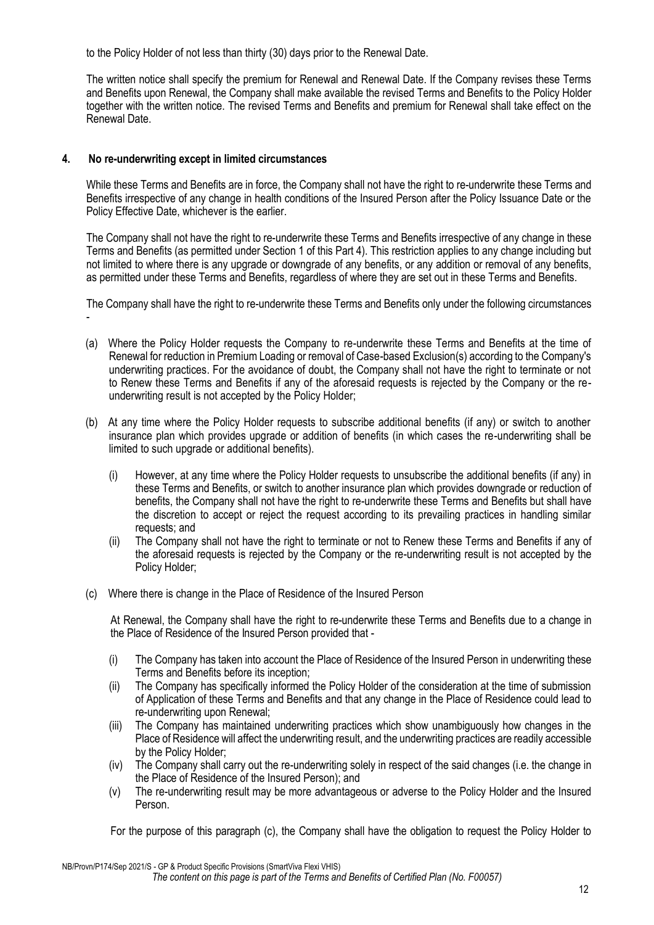to the Policy Holder of not less than thirty (30) days prior to the Renewal Date.

The written notice shall specify the premium for Renewal and Renewal Date. If the Company revises these Terms and Benefits upon Renewal, the Company shall make available the revised Terms and Benefits to the Policy Holder together with the written notice. The revised Terms and Benefits and premium for Renewal shall take effect on the Renewal Date.

## **4. No re-underwriting except in limited circumstances**

While these Terms and Benefits are in force, the Company shall not have the right to re-underwrite these Terms and Benefits irrespective of any change in health conditions of the Insured Person after the Policy Issuance Date or the Policy Effective Date, whichever is the earlier.

The Company shall not have the right to re-underwrite these Terms and Benefits irrespective of any change in these Terms and Benefits (as permitted under Section 1 of this Part 4). This restriction applies to any change including but not limited to where there is any upgrade or downgrade of any benefits, or any addition or removal of any benefits, as permitted under these Terms and Benefits, regardless of where they are set out in these Terms and Benefits.

The Company shall have the right to re-underwrite these Terms and Benefits only under the following circumstances -

- (a) Where the Policy Holder requests the Company to re-underwrite these Terms and Benefits at the time of Renewal for reduction in Premium Loading or removal of Case-based Exclusion(s) according to the Company's underwriting practices. For the avoidance of doubt, the Company shall not have the right to terminate or not to Renew these Terms and Benefits if any of the aforesaid requests is rejected by the Company or the reunderwriting result is not accepted by the Policy Holder;
- (b) At any time where the Policy Holder requests to subscribe additional benefits (if any) or switch to another insurance plan which provides upgrade or addition of benefits (in which cases the re-underwriting shall be limited to such upgrade or additional benefits).
	- (i) However, at any time where the Policy Holder requests to unsubscribe the additional benefits (if any) in these Terms and Benefits, or switch to another insurance plan which provides downgrade or reduction of benefits, the Company shall not have the right to re-underwrite these Terms and Benefits but shall have the discretion to accept or reject the request according to its prevailing practices in handling similar requests; and
	- (ii) The Company shall not have the right to terminate or not to Renew these Terms and Benefits if any of the aforesaid requests is rejected by the Company or the re-underwriting result is not accepted by the Policy Holder;
- (c) Where there is change in the Place of Residence of the Insured Person

At Renewal, the Company shall have the right to re-underwrite these Terms and Benefits due to a change in the Place of Residence of the Insured Person provided that -

- (i) The Company has taken into account the Place of Residence of the Insured Person in underwriting these Terms and Benefits before its inception;
- (ii) The Company has specifically informed the Policy Holder of the consideration at the time of submission of Application of these Terms and Benefits and that any change in the Place of Residence could lead to re-underwriting upon Renewal;
- (iii) The Company has maintained underwriting practices which show unambiguously how changes in the Place of Residence will affect the underwriting result, and the underwriting practices are readily accessible by the Policy Holder;
- (iv) The Company shall carry out the re-underwriting solely in respect of the said changes (i.e. the change in the Place of Residence of the Insured Person); and
- (v) The re-underwriting result may be more advantageous or adverse to the Policy Holder and the Insured Person.

For the purpose of this paragraph (c), the Company shall have the obligation to request the Policy Holder to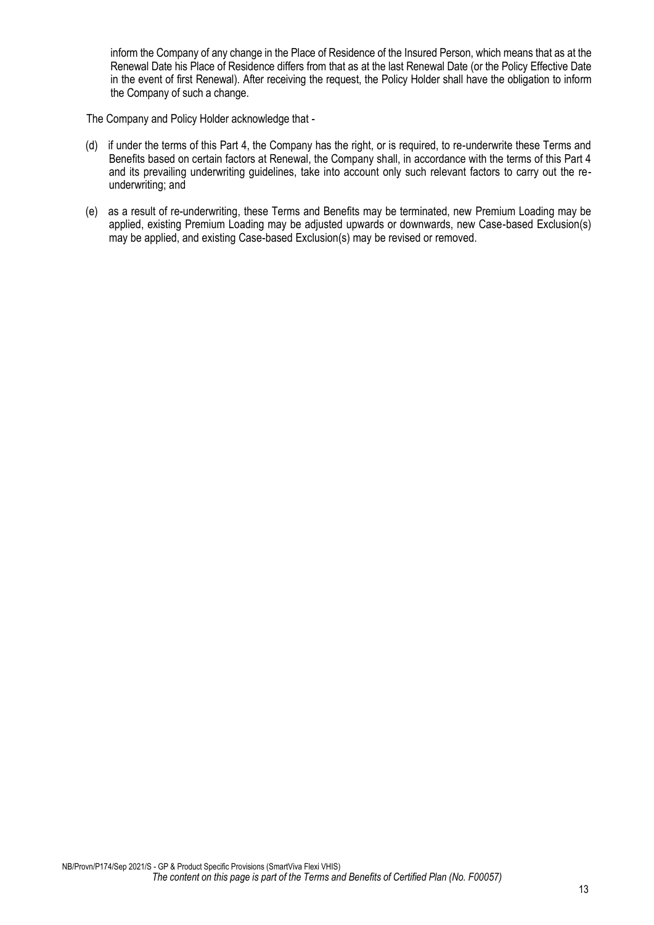inform the Company of any change in the Place of Residence of the Insured Person, which means that as at the Renewal Date his Place of Residence differs from that as at the last Renewal Date (or the Policy Effective Date in the event of first Renewal). After receiving the request, the Policy Holder shall have the obligation to inform the Company of such a change.

The Company and Policy Holder acknowledge that -

- (d) if under the terms of this Part 4, the Company has the right, or is required, to re-underwrite these Terms and Benefits based on certain factors at Renewal, the Company shall, in accordance with the terms of this Part 4 and its prevailing underwriting guidelines, take into account only such relevant factors to carry out the reunderwriting; and
- (e) as a result of re-underwriting, these Terms and Benefits may be terminated, new Premium Loading may be applied, existing Premium Loading may be adjusted upwards or downwards, new Case-based Exclusion(s) may be applied, and existing Case-based Exclusion(s) may be revised or removed.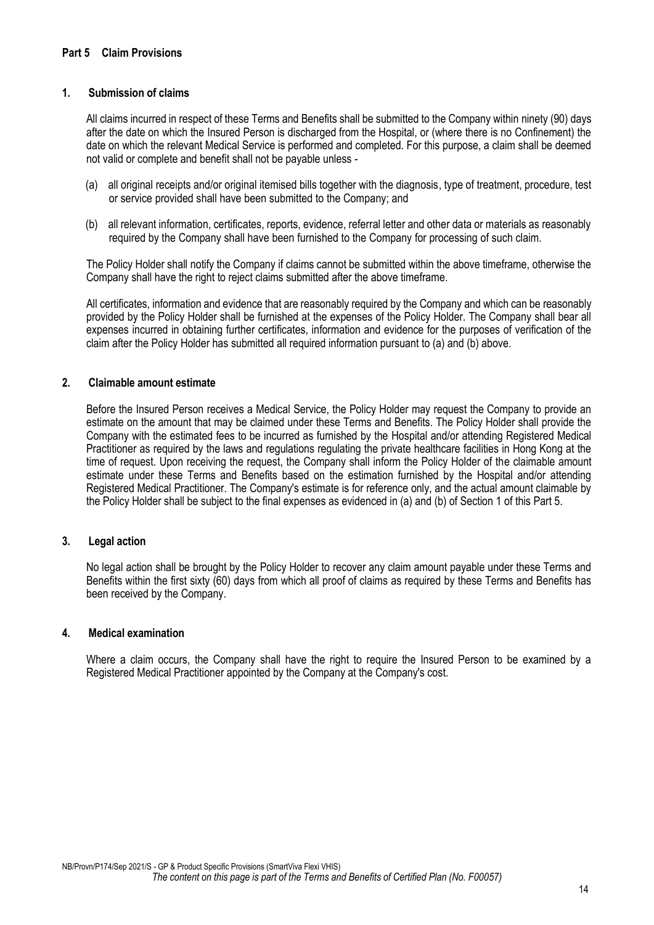## <span id="page-14-0"></span>**1. Submission of claims**

All claims incurred in respect of these Terms and Benefits shall be submitted to the Company within ninety (90) days after the date on which the Insured Person is discharged from the Hospital, or (where there is no Confinement) the date on which the relevant Medical Service is performed and completed. For this purpose, a claim shall be deemed not valid or complete and benefit shall not be payable unless -

- (a) all original receipts and/or original itemised bills together with the diagnosis, type of treatment, procedure, test or service provided shall have been submitted to the Company; and
- (b) all relevant information, certificates, reports, evidence, referral letter and other data or materials as reasonably required by the Company shall have been furnished to the Company for processing of such claim.

The Policy Holder shall notify the Company if claims cannot be submitted within the above timeframe, otherwise the Company shall have the right to reject claims submitted after the above timeframe.

All certificates, information and evidence that are reasonably required by the Company and which can be reasonably provided by the Policy Holder shall be furnished at the expenses of the Policy Holder. The Company shall bear all expenses incurred in obtaining further certificates, information and evidence for the purposes of verification of the claim after the Policy Holder has submitted all required information pursuant to (a) and (b) above.

#### **2. Claimable amount estimate**

Before the Insured Person receives a Medical Service, the Policy Holder may request the Company to provide an estimate on the amount that may be claimed under these Terms and Benefits. The Policy Holder shall provide the Company with the estimated fees to be incurred as furnished by the Hospital and/or attending Registered Medical Practitioner as required by the laws and regulations regulating the private healthcare facilities in Hong Kong at the time of request. Upon receiving the request, the Company shall inform the Policy Holder of the claimable amount estimate under these Terms and Benefits based on the estimation furnished by the Hospital and/or attending Registered Medical Practitioner. The Company's estimate is for reference only, and the actual amount claimable by the Policy Holder shall be subject to the final expenses as evidenced in (a) and (b) of Section 1 of this Part 5.

#### **3. Legal action**

No legal action shall be brought by the Policy Holder to recover any claim amount payable under these Terms and Benefits within the first sixty (60) days from which all proof of claims as required by these Terms and Benefits has been received by the Company.

#### **4. Medical examination**

Where a claim occurs, the Company shall have the right to require the Insured Person to be examined by a Registered Medical Practitioner appointed by the Company at the Company's cost.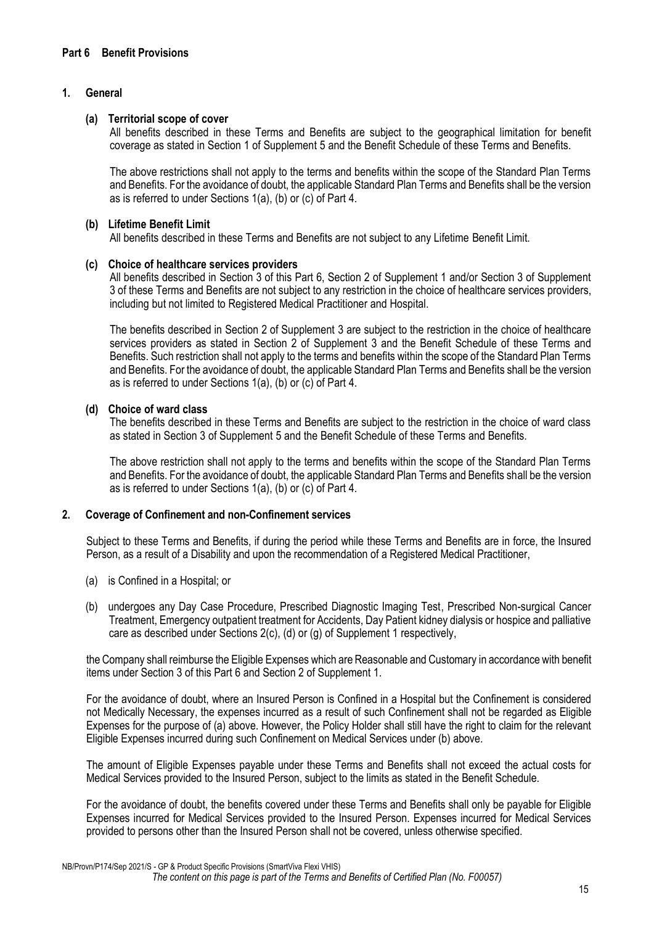## <span id="page-15-0"></span>**1. General**

#### **(a) Territorial scope of cover**

All benefits described in these Terms and Benefits are subject to the geographical limitation for benefit coverage as stated in Section 1 of Supplement 5 and the Benefit Schedule of these Terms and Benefits.

The above restrictions shall not apply to the terms and benefits within the scope of the Standard Plan Terms and Benefits. For the avoidance of doubt, the applicable Standard Plan Terms and Benefits shall be the version as is referred to under Sections 1(a), (b) or (c) of Part 4.

#### **(b) Lifetime Benefit Limit**

All benefits described in these Terms and Benefits are not subject to any Lifetime Benefit Limit.

#### **(c) Choice of healthcare services providers**

All benefits described in Section 3 of this Part 6, Section 2 of Supplement 1 and/or Section 3 of Supplement 3 of these Terms and Benefits are not subject to any restriction in the choice of healthcare services providers, including but not limited to Registered Medical Practitioner and Hospital.

The benefits described in Section 2 of Supplement 3 are subject to the restriction in the choice of healthcare services providers as stated in Section 2 of Supplement 3 and the Benefit Schedule of these Terms and Benefits. Such restriction shall not apply to the terms and benefits within the scope of the Standard Plan Terms and Benefits. For the avoidance of doubt, the applicable Standard Plan Terms and Benefits shall be the version as is referred to under Sections 1(a), (b) or (c) of Part 4.

## **(d) Choice of ward class**

The benefits described in these Terms and Benefits are subject to the restriction in the choice of ward class as stated in Section 3 of Supplement 5 and the Benefit Schedule of these Terms and Benefits.

The above restriction shall not apply to the terms and benefits within the scope of the Standard Plan Terms and Benefits. For the avoidance of doubt, the applicable Standard Plan Terms and Benefits shall be the version as is referred to under Sections 1(a), (b) or (c) of Part 4.

## **2. Coverage of Confinement and non-Confinement services**

Subject to these Terms and Benefits, if during the period while these Terms and Benefits are in force, the Insured Person, as a result of a Disability and upon the recommendation of a Registered Medical Practitioner,

- (a) is Confined in a Hospital; or
- (b) undergoes any Day Case Procedure, Prescribed Diagnostic Imaging Test, Prescribed Non-surgical Cancer Treatment, Emergency outpatient treatment for Accidents, Day Patient kidney dialysis or hospice and palliative care as described under Sections 2(c), (d) or (g) of Supplement 1 respectively,

the Company shall reimburse the Eligible Expenses which are Reasonable and Customary in accordance with benefit items under Section 3 of this Part 6 and Section 2 of Supplement 1.

For the avoidance of doubt, where an Insured Person is Confined in a Hospital but the Confinement is considered not Medically Necessary, the expenses incurred as a result of such Confinement shall not be regarded as Eligible Expenses for the purpose of (a) above. However, the Policy Holder shall still have the right to claim for the relevant Eligible Expenses incurred during such Confinement on Medical Services under (b) above.

The amount of Eligible Expenses payable under these Terms and Benefits shall not exceed the actual costs for Medical Services provided to the Insured Person, subject to the limits as stated in the Benefit Schedule.

For the avoidance of doubt, the benefits covered under these Terms and Benefits shall only be payable for Eligible Expenses incurred for Medical Services provided to the Insured Person. Expenses incurred for Medical Services provided to persons other than the Insured Person shall not be covered, unless otherwise specified.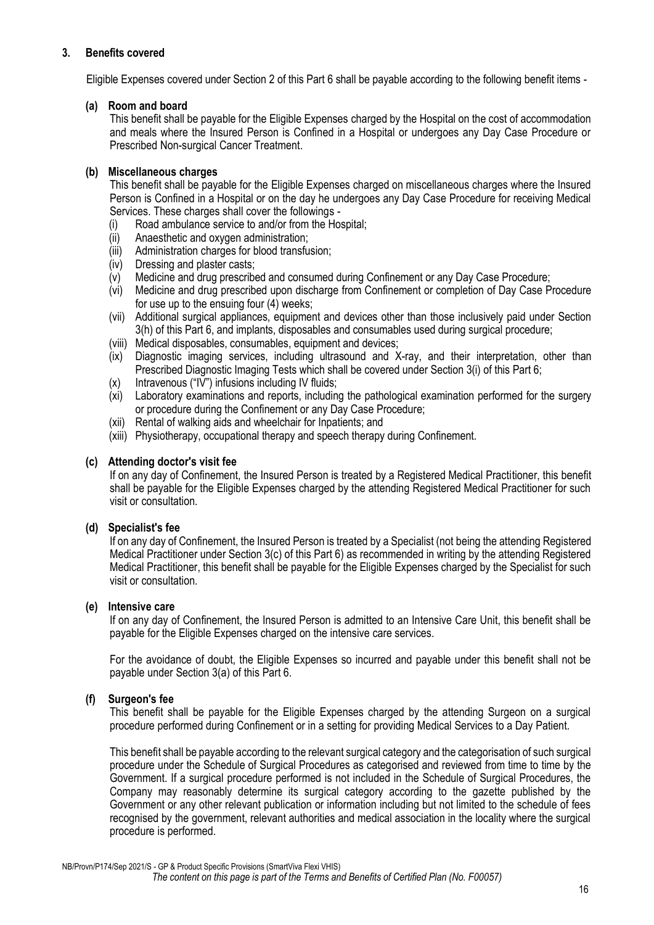## **3. Benefits covered**

Eligible Expenses covered under Section 2 of this Part 6 shall be payable according to the following benefit items -

## **(a) Room and board**

This benefit shall be payable for the Eligible Expenses charged by the Hospital on the cost of accommodation and meals where the Insured Person is Confined in a Hospital or undergoes any Day Case Procedure or Prescribed Non-surgical Cancer Treatment.

## **(b) Miscellaneous charges**

This benefit shall be payable for the Eligible Expenses charged on miscellaneous charges where the Insured Person is Confined in a Hospital or on the day he undergoes any Day Case Procedure for receiving Medical Services. These charges shall cover the followings -

- (i) Road ambulance service to and/or from the Hospital;
- (ii) Anaesthetic and oxygen administration;
- (iii) Administration charges for blood transfusion;
- (iv) Dressing and plaster casts;
- (v) Medicine and drug prescribed and consumed during Confinement or any Day Case Procedure;
- (vi) Medicine and drug prescribed upon discharge from Confinement or completion of Day Case Procedure for use up to the ensuing four (4) weeks;
- (vii) Additional surgical appliances, equipment and devices other than those inclusively paid under Section 3(h) of this Part 6, and implants, disposables and consumables used during surgical procedure;
- (viii) Medical disposables, consumables, equipment and devices;
- $(ix)$  Diagnostic imaging services, including ultrasound and X-ray, and their interpretation, other than Prescribed Diagnostic Imaging Tests which shall be covered under Section 3(i) of this Part 6;
- (x) Intravenous ("IV") infusions including IV fluids;
- (xi) Laboratory examinations and reports, including the pathological examination performed for the surgery or procedure during the Confinement or any Day Case Procedure;
- (xii) Rental of walking aids and wheelchair for Inpatients; and
- (xiii) Physiotherapy, occupational therapy and speech therapy during Confinement.

#### **(c) Attending doctor's visit fee**

If on any day of Confinement, the Insured Person is treated by a Registered Medical Practitioner, this benefit shall be payable for the Eligible Expenses charged by the attending Registered Medical Practitioner for such visit or consultation.

## **(d) Specialist's fee**

If on any day of Confinement, the Insured Person is treated by a Specialist (not being the attending Registered Medical Practitioner under Section 3(c) of this Part 6) as recommended in writing by the attending Registered Medical Practitioner, this benefit shall be payable for the Eligible Expenses charged by the Specialist for such visit or consultation.

#### **(e) Intensive care**

If on any day of Confinement, the Insured Person is admitted to an Intensive Care Unit, this benefit shall be payable for the Eligible Expenses charged on the intensive care services.

For the avoidance of doubt, the Eligible Expenses so incurred and payable under this benefit shall not be payable under Section 3(a) of this Part 6.

## **(f) Surgeon's fee**

This benefit shall be payable for the Eligible Expenses charged by the attending Surgeon on a surgical procedure performed during Confinement or in a setting for providing Medical Services to a Day Patient.

This benefit shall be payable according to the relevant surgical category and the categorisation of such surgical procedure under the Schedule of Surgical Procedures as categorised and reviewed from time to time by the Government. If a surgical procedure performed is not included in the Schedule of Surgical Procedures, the Company may reasonably determine its surgical category according to the gazette published by the Government or any other relevant publication or information including but not limited to the schedule of fees recognised by the government, relevant authorities and medical association in the locality where the surgical procedure is performed.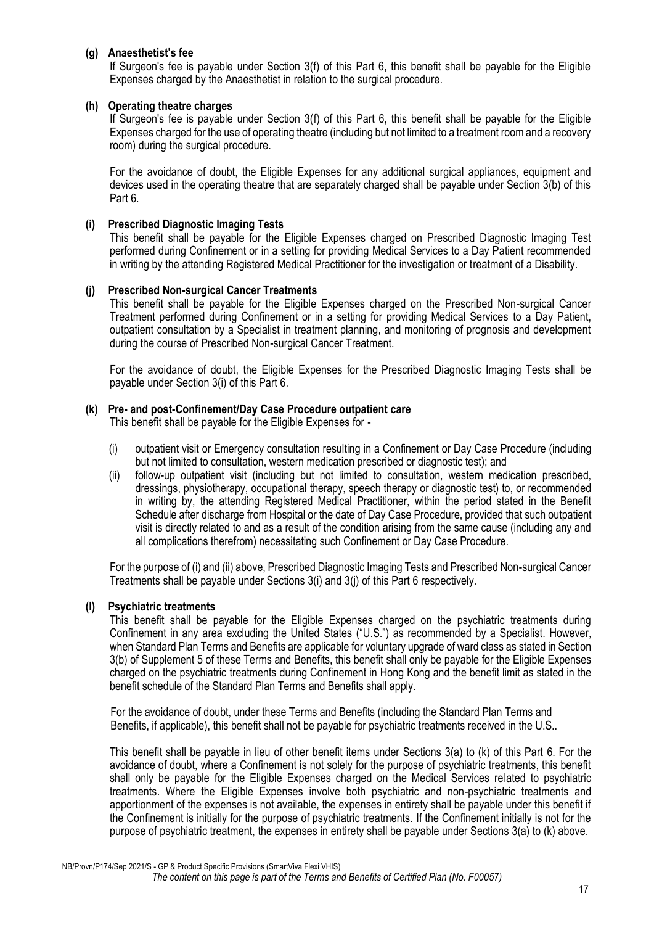## **(g) Anaesthetist's fee**

If Surgeon's fee is payable under Section 3(f) of this Part 6, this benefit shall be payable for the Eligible Expenses charged by the Anaesthetist in relation to the surgical procedure.

## **(h) Operating theatre charges**

If Surgeon's fee is payable under Section 3(f) of this Part 6, this benefit shall be payable for the Eligible Expenses charged for the use of operating theatre (including but not limited to a treatment room and a recovery room) during the surgical procedure.

For the avoidance of doubt, the Eligible Expenses for any additional surgical appliances, equipment and devices used in the operating theatre that are separately charged shall be payable under Section 3(b) of this Part 6.

## **(i) Prescribed Diagnostic Imaging Tests**

This benefit shall be payable for the Eligible Expenses charged on Prescribed Diagnostic Imaging Test performed during Confinement or in a setting for providing Medical Services to a Day Patient recommended in writing by the attending Registered Medical Practitioner for the investigation or treatment of a Disability.

## **(j) Prescribed Non-surgical Cancer Treatments**

This benefit shall be payable for the Eligible Expenses charged on the Prescribed Non-surgical Cancer Treatment performed during Confinement or in a setting for providing Medical Services to a Day Patient, outpatient consultation by a Specialist in treatment planning, and monitoring of prognosis and development during the course of Prescribed Non-surgical Cancer Treatment.

For the avoidance of doubt, the Eligible Expenses for the Prescribed Diagnostic Imaging Tests shall be payable under Section 3(i) of this Part 6.

## **(k) Pre- and post-Confinement/Day Case Procedure outpatient care**

This benefit shall be payable for the Eligible Expenses for -

- (i) outpatient visit or Emergency consultation resulting in a Confinement or Day Case Procedure (including but not limited to consultation, western medication prescribed or diagnostic test); and
- (ii) follow-up outpatient visit (including but not limited to consultation, western medication prescribed, dressings, physiotherapy, occupational therapy, speech therapy or diagnostic test) to, or recommended in writing by, the attending Registered Medical Practitioner, within the period stated in the Benefit Schedule after discharge from Hospital or the date of Day Case Procedure, provided that such outpatient visit is directly related to and as a result of the condition arising from the same cause (including any and all complications therefrom) necessitating such Confinement or Day Case Procedure.

For the purpose of (i) and (ii) above, Prescribed Diagnostic Imaging Tests and Prescribed Non-surgical Cancer Treatments shall be payable under Sections 3(i) and 3(j) of this Part 6 respectively.

## **(l) Psychiatric treatments**

This benefit shall be payable for the Eligible Expenses charged on the psychiatric treatments during Confinement in any area excluding the United States ("U.S.") as recommended by a Specialist. However, when Standard Plan Terms and Benefits are applicable for voluntary upgrade of ward class as stated in Section 3(b) of Supplement 5 of these Terms and Benefits, this benefit shall only be payable for the Eligible Expenses charged on the psychiatric treatments during Confinement in Hong Kong and the benefit limit as stated in the benefit schedule of the Standard Plan Terms and Benefits shall apply.

For the avoidance of doubt, under these Terms and Benefits (including the Standard Plan Terms and Benefits, if applicable), this benefit shall not be payable for psychiatric treatments received in the U.S..

This benefit shall be payable in lieu of other benefit items under Sections 3(a) to (k) of this Part 6. For the avoidance of doubt, where a Confinement is not solely for the purpose of psychiatric treatments, this benefit shall only be payable for the Eligible Expenses charged on the Medical Services related to psychiatric treatments. Where the Eligible Expenses involve both psychiatric and non-psychiatric treatments and apportionment of the expenses is not available, the expenses in entirety shall be payable under this benefit if the Confinement is initially for the purpose of psychiatric treatments. If the Confinement initially is not for the purpose of psychiatric treatment, the expenses in entirety shall be payable under Sections 3(a) to (k) above.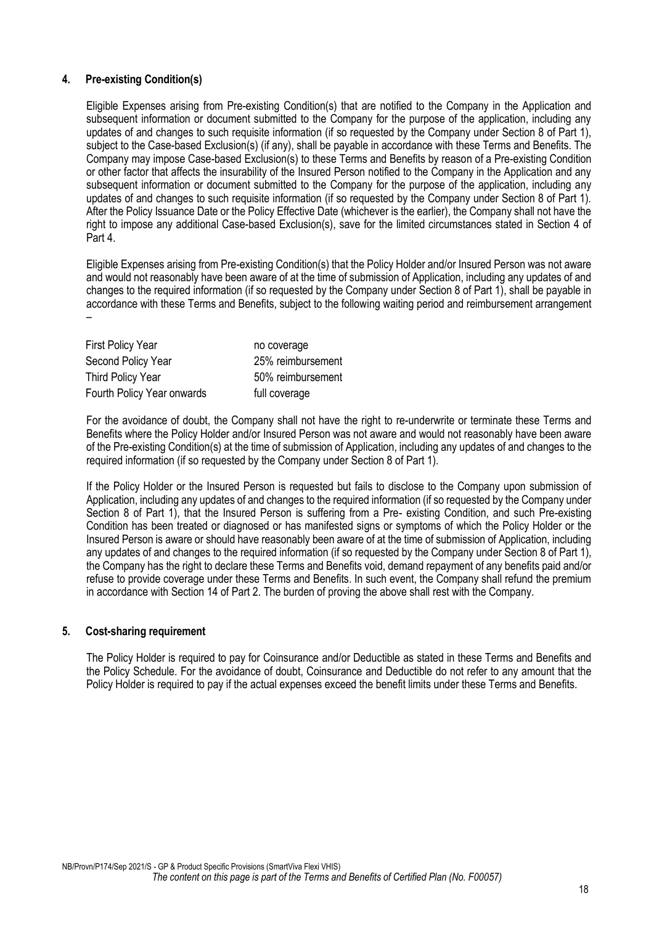## **4. Pre-existing Condition(s)**

Eligible Expenses arising from Pre-existing Condition(s) that are notified to the Company in the Application and subsequent information or document submitted to the Company for the purpose of the application, including any updates of and changes to such requisite information (if so requested by the Company under Section 8 of Part 1), subject to the Case-based Exclusion(s) (if any), shall be payable in accordance with these Terms and Benefits. The Company may impose Case-based Exclusion(s) to these Terms and Benefits by reason of a Pre-existing Condition or other factor that affects the insurability of the Insured Person notified to the Company in the Application and any subsequent information or document submitted to the Company for the purpose of the application, including any updates of and changes to such requisite information (if so requested by the Company under Section 8 of Part 1). After the Policy Issuance Date or the Policy Effective Date (whichever is the earlier), the Company shall not have the right to impose any additional Case-based Exclusion(s), save for the limited circumstances stated in Section 4 of Part 4.

Eligible Expenses arising from Pre-existing Condition(s) that the Policy Holder and/or Insured Person was not aware and would not reasonably have been aware of at the time of submission of Application, including any updates of and changes to the required information (if so requested by the Company under Section 8 of Part 1), shall be payable in accordance with these Terms and Benefits, subject to the following waiting period and reimbursement arrangement –

| <b>First Policy Year</b>   | no coverage       |
|----------------------------|-------------------|
| Second Policy Year         | 25% reimbursement |
| <b>Third Policy Year</b>   | 50% reimbursement |
| Fourth Policy Year onwards | full coverage     |

For the avoidance of doubt, the Company shall not have the right to re-underwrite or terminate these Terms and Benefits where the Policy Holder and/or Insured Person was not aware and would not reasonably have been aware of the Pre-existing Condition(s) at the time of submission of Application, including any updates of and changes to the required information (if so requested by the Company under Section 8 of Part 1).

If the Policy Holder or the Insured Person is requested but fails to disclose to the Company upon submission of Application, including any updates of and changes to the required information (if so requested by the Company under Section 8 of Part 1), that the Insured Person is suffering from a Pre- existing Condition, and such Pre-existing Condition has been treated or diagnosed or has manifested signs or symptoms of which the Policy Holder or the Insured Person is aware or should have reasonably been aware of at the time of submission of Application, including any updates of and changes to the required information (if so requested by the Company under Section 8 of Part 1), the Company has the right to declare these Terms and Benefits void, demand repayment of any benefits paid and/or refuse to provide coverage under these Terms and Benefits. In such event, the Company shall refund the premium in accordance with Section 14 of Part 2. The burden of proving the above shall rest with the Company.

#### **5. Cost-sharing requirement**

The Policy Holder is required to pay for Coinsurance and/or Deductible as stated in these Terms and Benefits and the Policy Schedule. For the avoidance of doubt, Coinsurance and Deductible do not refer to any amount that the Policy Holder is required to pay if the actual expenses exceed the benefit limits under these Terms and Benefits.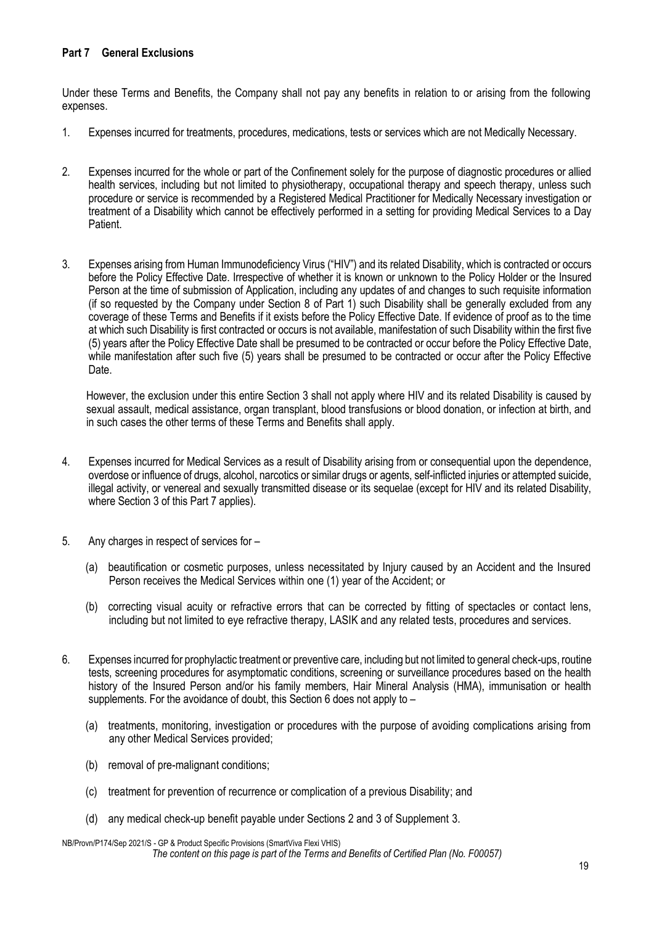## <span id="page-19-0"></span>**Part 7 General Exclusions**

Under these Terms and Benefits, the Company shall not pay any benefits in relation to or arising from the following expenses.

- 1. Expenses incurred for treatments, procedures, medications, tests or services which are not Medically Necessary.
- 2. Expenses incurred for the whole or part of the Confinement solely for the purpose of diagnostic procedures or allied health services, including but not limited to physiotherapy, occupational therapy and speech therapy, unless such procedure or service is recommended by a Registered Medical Practitioner for Medically Necessary investigation or treatment of a Disability which cannot be effectively performed in a setting for providing Medical Services to a Day Patient.
- 3. Expenses arising from Human Immunodeficiency Virus ("HIV") and its related Disability, which is contracted or occurs before the Policy Effective Date. Irrespective of whether it is known or unknown to the Policy Holder or the Insured Person at the time of submission of Application, including any updates of and changes to such requisite information (if so requested by the Company under Section 8 of Part 1) such Disability shall be generally excluded from any coverage of these Terms and Benefits if it exists before the Policy Effective Date. If evidence of proof as to the time at which such Disability is first contracted or occurs is not available, manifestation of such Disability within the first five (5) years after the Policy Effective Date shall be presumed to be contracted or occur before the Policy Effective Date, while manifestation after such five (5) years shall be presumed to be contracted or occur after the Policy Effective Date.

However, the exclusion under this entire Section 3 shall not apply where HIV and its related Disability is caused by sexual assault, medical assistance, organ transplant, blood transfusions or blood donation, or infection at birth, and in such cases the other terms of these Terms and Benefits shall apply.

- 4. Expenses incurred for Medical Services as a result of Disability arising from or consequential upon the dependence, overdose or influence of drugs, alcohol, narcotics or similar drugs or agents, self-inflicted injuries or attempted suicide, illegal activity, or venereal and sexually transmitted disease or its sequelae (except for HIV and its related Disability, where Section 3 of this Part 7 applies).
- 5. Any charges in respect of services for
	- (a) beautification or cosmetic purposes, unless necessitated by Injury caused by an Accident and the Insured Person receives the Medical Services within one (1) year of the Accident; or
	- (b) correcting visual acuity or refractive errors that can be corrected by fitting of spectacles or contact lens, including but not limited to eye refractive therapy, LASIK and any related tests, procedures and services.
- 6. Expenses incurred for prophylactic treatment or preventive care, including but not limited to general check-ups, routine tests, screening procedures for asymptomatic conditions, screening or surveillance procedures based on the health history of the Insured Person and/or his family members, Hair Mineral Analysis (HMA), immunisation or health supplements. For the avoidance of doubt, this Section 6 does not apply to –
	- (a) treatments, monitoring, investigation or procedures with the purpose of avoiding complications arising from any other Medical Services provided;
	- (b) removal of pre-malignant conditions;
	- (c) treatment for prevention of recurrence or complication of a previous Disability; and
	- (d) any medical check-up benefit payable under Sections 2 and 3 of Supplement 3.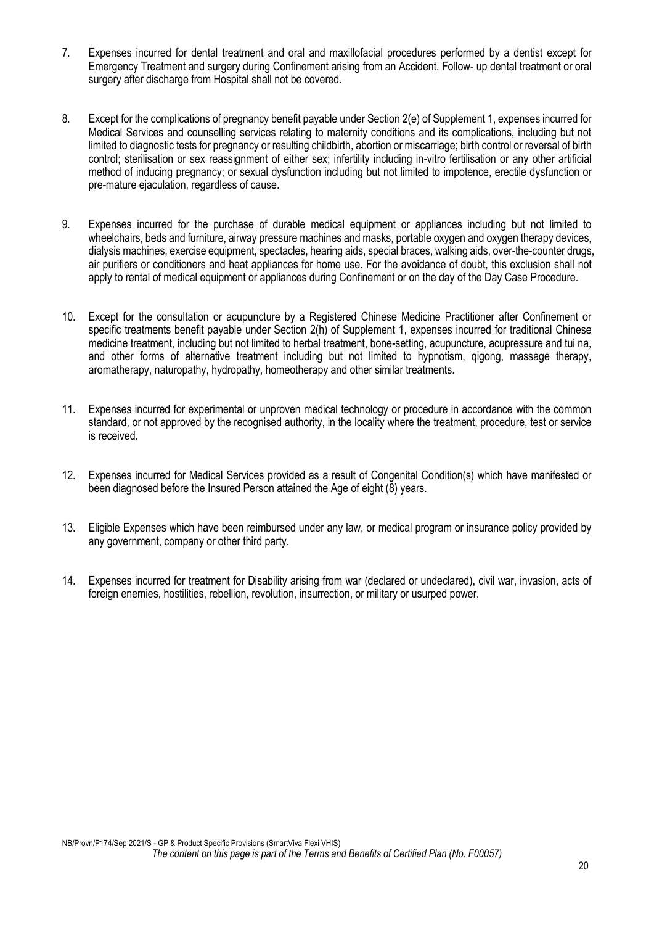- 7. Expenses incurred for dental treatment and oral and maxillofacial procedures performed by a dentist except for Emergency Treatment and surgery during Confinement arising from an Accident. Follow- up dental treatment or oral surgery after discharge from Hospital shall not be covered.
- 8. Except for the complications of pregnancy benefit payable under Section 2(e) of Supplement 1, expenses incurred for Medical Services and counselling services relating to maternity conditions and its complications, including but not limited to diagnostic tests for pregnancy or resulting childbirth, abortion or miscarriage; birth control or reversal of birth control; sterilisation or sex reassignment of either sex; infertility including in-vitro fertilisation or any other artificial method of inducing pregnancy; or sexual dysfunction including but not limited to impotence, erectile dysfunction or pre-mature ejaculation, regardless of cause.
- 9. Expenses incurred for the purchase of durable medical equipment or appliances including but not limited to wheelchairs, beds and furniture, airway pressure machines and masks, portable oxygen and oxygen therapy devices, dialysis machines, exercise equipment, spectacles, hearing aids, special braces, walking aids, over-the-counter drugs, air purifiers or conditioners and heat appliances for home use. For the avoidance of doubt, this exclusion shall not apply to rental of medical equipment or appliances during Confinement or on the day of the Day Case Procedure.
- 10. Except for the consultation or acupuncture by a Registered Chinese Medicine Practitioner after Confinement or specific treatments benefit payable under Section 2(h) of Supplement 1, expenses incurred for traditional Chinese medicine treatment, including but not limited to herbal treatment, bone-setting, acupuncture, acupressure and tui na, and other forms of alternative treatment including but not limited to hypnotism, qigong, massage therapy, aromatherapy, naturopathy, hydropathy, homeotherapy and other similar treatments.
- 11. Expenses incurred for experimental or unproven medical technology or procedure in accordance with the common standard, or not approved by the recognised authority, in the locality where the treatment, procedure, test or service is received.
- 12. Expenses incurred for Medical Services provided as a result of Congenital Condition(s) which have manifested or been diagnosed before the Insured Person attained the Age of eight (8) years.
- 13. Eligible Expenses which have been reimbursed under any law, or medical program or insurance policy provided by any government, company or other third party.
- 14. Expenses incurred for treatment for Disability arising from war (declared or undeclared), civil war, invasion, acts of foreign enemies, hostilities, rebellion, revolution, insurrection, or military or usurped power.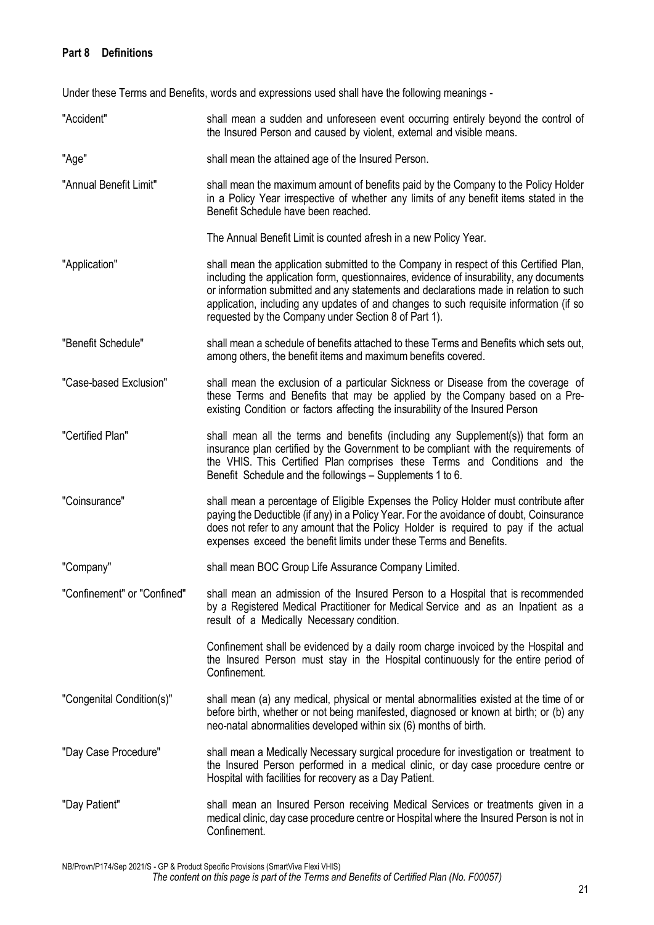## <span id="page-21-0"></span>**Part 8 Definitions**

Under these Terms and Benefits, words and expressions used shall have the following meanings -

"Accident" shall mean a sudden and unforeseen event occurring entirely beyond the control of the Insured Person and caused by violent, external and visible means. "Age" shall mean the attained age of the Insured Person. "Annual Benefit Limit" shall mean the maximum amount of benefits paid by the Company to the Policy Holder in a Policy Year irrespective of whether any limits of any benefit items stated in the Benefit Schedule have been reached. The Annual Benefit Limit is counted afresh in a new Policy Year. "Application" shall mean the application submitted to the Company in respect of this Certified Plan, including the application form, questionnaires, evidence of insurability, any documents or information submitted and any statements and declarations made in relation to such application, including any updates of and changes to such requisite information (if so requested by the Company under Section 8 of Part 1). "Benefit Schedule" shall mean a schedule of benefits attached to these Terms and Benefits which sets out, among others, the benefit items and maximum benefits covered. "Case-based Exclusion" shall mean the exclusion of a particular Sickness or Disease from the coverage of these Terms and Benefits that may be applied by the Company based on a Preexisting Condition or factors affecting the insurability of the Insured Person "Certified Plan" shall mean all the terms and benefits (including any Supplement(s)) that form an insurance plan certified by the Government to be compliant with the requirements of the VHIS. This Certified Plan comprises these Terms and Conditions and the Benefit Schedule and the followings – Supplements 1 to 6. "Coinsurance" shall mean a percentage of Eligible Expenses the Policy Holder must contribute after paying the Deductible (if any) in a Policy Year. For the avoidance of doubt, Coinsurance does not refer to any amount that the Policy Holder is required to pay if the actual expenses exceed the benefit limits under these Terms and Benefits. "Company" shall mean BOC Group Life Assurance Company Limited. "Confinement" or "Confined" shall mean an admission of the Insured Person to a Hospital that is recommended by a Registered Medical Practitioner for Medical Service and as an Inpatient as a result of a Medically Necessary condition. Confinement shall be evidenced by a daily room charge invoiced by the Hospital and the Insured Person must stay in the Hospital continuously for the entire period of Confinement*.* "Congenital Condition(s)" shall mean (a) any medical, physical or mental abnormalities existed at the time of or before birth, whether or not being manifested, diagnosed or known at birth; or (b) any neo-natal abnormalities developed within six (6) months of birth. "Day Case Procedure" shall mean a Medically Necessary surgical procedure for investigation or treatment to the Insured Person performed in a medical clinic, or day case procedure centre or Hospital with facilities for recovery as a Day Patient. "Day Patient" shall mean an Insured Person receiving Medical Services or treatments given in a medical clinic, day case procedure centre or Hospital where the Insured Person is not in Confinement.

NB/Provn/P174/Sep 2021/S - GP & Product Specific Provisions (SmartViva Flexi VHIS)

*The content on this page is part of the Terms and Benefits of Certified Plan (No. F00057)*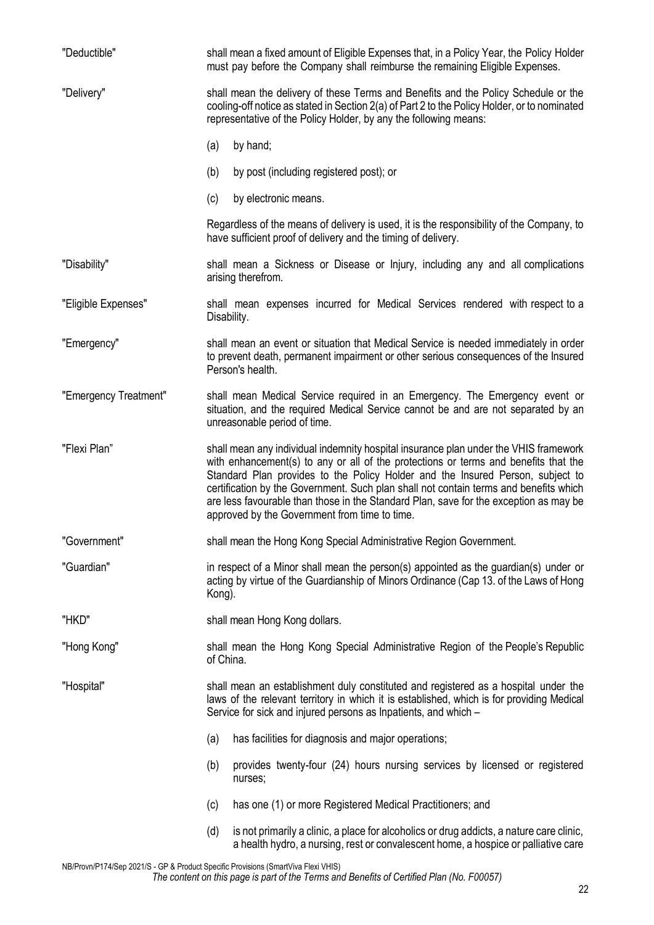| "Deductible"          | shall mean a fixed amount of Eligible Expenses that, in a Policy Year, the Policy Holder<br>must pay before the Company shall reimburse the remaining Eligible Expenses.                                                                                                                                                                                                                                                                                                                         |
|-----------------------|--------------------------------------------------------------------------------------------------------------------------------------------------------------------------------------------------------------------------------------------------------------------------------------------------------------------------------------------------------------------------------------------------------------------------------------------------------------------------------------------------|
| "Delivery"            | shall mean the delivery of these Terms and Benefits and the Policy Schedule or the<br>cooling-off notice as stated in Section 2(a) of Part 2 to the Policy Holder, or to nominated<br>representative of the Policy Holder, by any the following means:                                                                                                                                                                                                                                           |
|                       | (a)<br>by hand;                                                                                                                                                                                                                                                                                                                                                                                                                                                                                  |
|                       | (b)<br>by post (including registered post); or                                                                                                                                                                                                                                                                                                                                                                                                                                                   |
|                       | (c)<br>by electronic means.                                                                                                                                                                                                                                                                                                                                                                                                                                                                      |
|                       | Regardless of the means of delivery is used, it is the responsibility of the Company, to<br>have sufficient proof of delivery and the timing of delivery.                                                                                                                                                                                                                                                                                                                                        |
| "Disability"          | shall mean a Sickness or Disease or Injury, including any and all complications<br>arising therefrom.                                                                                                                                                                                                                                                                                                                                                                                            |
| "Eligible Expenses"   | shall mean expenses incurred for Medical Services rendered with respect to a<br>Disability.                                                                                                                                                                                                                                                                                                                                                                                                      |
| "Emergency"           | shall mean an event or situation that Medical Service is needed immediately in order<br>to prevent death, permanent impairment or other serious consequences of the Insured<br>Person's health.                                                                                                                                                                                                                                                                                                  |
| "Emergency Treatment" | shall mean Medical Service required in an Emergency. The Emergency event or<br>situation, and the required Medical Service cannot be and are not separated by an<br>unreasonable period of time.                                                                                                                                                                                                                                                                                                 |
| "Flexi Plan"          | shall mean any individual indemnity hospital insurance plan under the VHIS framework<br>with enhancement(s) to any or all of the protections or terms and benefits that the<br>Standard Plan provides to the Policy Holder and the Insured Person, subject to<br>certification by the Government. Such plan shall not contain terms and benefits which<br>are less favourable than those in the Standard Plan, save for the exception as may be<br>approved by the Government from time to time. |
| "Government"          | shall mean the Hong Kong Special Administrative Region Government.                                                                                                                                                                                                                                                                                                                                                                                                                               |
| "Guardian"            | in respect of a Minor shall mean the person(s) appointed as the guardian(s) under or<br>acting by virtue of the Guardianship of Minors Ordinance (Cap 13. of the Laws of Hong<br>Kong).                                                                                                                                                                                                                                                                                                          |
| "HKD"                 | shall mean Hong Kong dollars.                                                                                                                                                                                                                                                                                                                                                                                                                                                                    |
| "Hong Kong"           | shall mean the Hong Kong Special Administrative Region of the People's Republic<br>of China.                                                                                                                                                                                                                                                                                                                                                                                                     |
| "Hospital"            | shall mean an establishment duly constituted and registered as a hospital under the<br>laws of the relevant territory in which it is established, which is for providing Medical<br>Service for sick and injured persons as Inpatients, and which -                                                                                                                                                                                                                                              |
|                       | (a)<br>has facilities for diagnosis and major operations;                                                                                                                                                                                                                                                                                                                                                                                                                                        |
|                       | provides twenty-four (24) hours nursing services by licensed or registered<br>(b)<br>nurses;                                                                                                                                                                                                                                                                                                                                                                                                     |
|                       | has one (1) or more Registered Medical Practitioners; and<br>(c)                                                                                                                                                                                                                                                                                                                                                                                                                                 |
|                       | is not primarily a clinic, a place for alcoholics or drug addicts, a nature care clinic,<br>(d)<br>a health hydro, a nursing, rest or convalescent home, a hospice or palliative care                                                                                                                                                                                                                                                                                                            |

NB/Provn/P174/Sep 2021/S - GP & Product Specific Provisions (SmartViva Flexi VHIS) *The content on this page is part of the Terms and Benefits of Certified Plan (No. F00057)*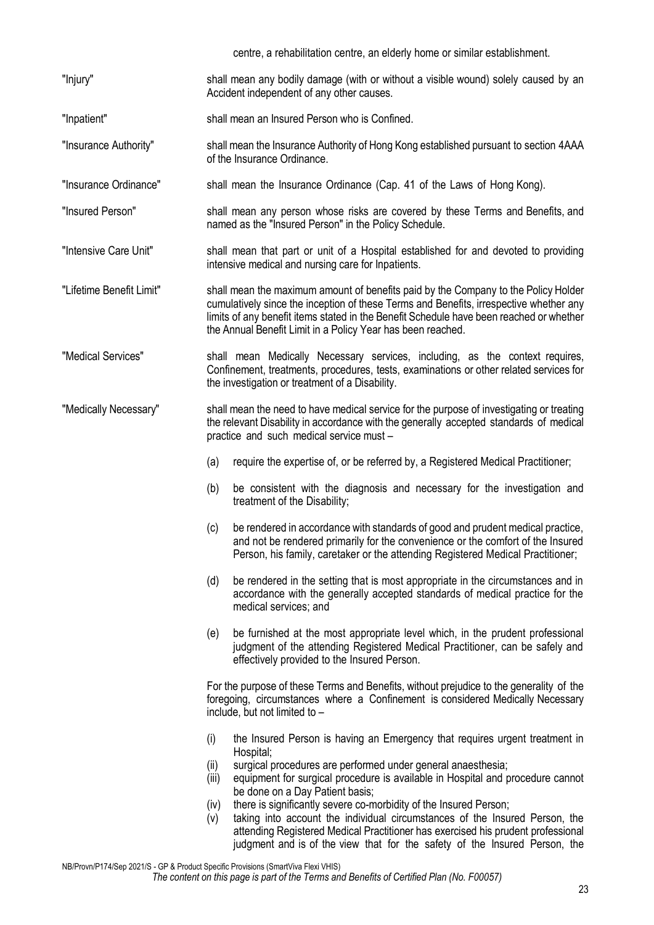|                          | centre, a rehabilitation centre, an elderly home or similar establishment.                                                                                                                                                                                                                                                             |
|--------------------------|----------------------------------------------------------------------------------------------------------------------------------------------------------------------------------------------------------------------------------------------------------------------------------------------------------------------------------------|
| "Injury"                 | shall mean any bodily damage (with or without a visible wound) solely caused by an<br>Accident independent of any other causes.                                                                                                                                                                                                        |
| "Inpatient"              | shall mean an Insured Person who is Confined.                                                                                                                                                                                                                                                                                          |
| "Insurance Authority"    | shall mean the Insurance Authority of Hong Kong established pursuant to section 4AAA<br>of the Insurance Ordinance.                                                                                                                                                                                                                    |
| "Insurance Ordinance"    | shall mean the Insurance Ordinance (Cap. 41 of the Laws of Hong Kong).                                                                                                                                                                                                                                                                 |
| "Insured Person"         | shall mean any person whose risks are covered by these Terms and Benefits, and<br>named as the "Insured Person" in the Policy Schedule.                                                                                                                                                                                                |
| "Intensive Care Unit"    | shall mean that part or unit of a Hospital established for and devoted to providing<br>intensive medical and nursing care for Inpatients.                                                                                                                                                                                              |
| "Lifetime Benefit Limit" | shall mean the maximum amount of benefits paid by the Company to the Policy Holder<br>cumulatively since the inception of these Terms and Benefits, irrespective whether any<br>limits of any benefit items stated in the Benefit Schedule have been reached or whether<br>the Annual Benefit Limit in a Policy Year has been reached. |
| "Medical Services"       | shall mean Medically Necessary services, including, as the context requires,<br>Confinement, treatments, procedures, tests, examinations or other related services for<br>the investigation or treatment of a Disability.                                                                                                              |
| "Medically Necessary"    | shall mean the need to have medical service for the purpose of investigating or treating<br>the relevant Disability in accordance with the generally accepted standards of medical<br>practice and such medical service must -                                                                                                         |
|                          | require the expertise of, or be referred by, a Registered Medical Practitioner;<br>(a)                                                                                                                                                                                                                                                 |
|                          | (b)<br>be consistent with the diagnosis and necessary for the investigation and<br>treatment of the Disability;                                                                                                                                                                                                                        |
|                          | be rendered in accordance with standards of good and prudent medical practice,<br>(c)<br>and not be rendered primarily for the convenience or the comfort of the Insured<br>Person, his family, caretaker or the attending Registered Medical Practitioner;                                                                            |
|                          | (d)<br>be rendered in the setting that is most appropriate in the circumstances and in<br>accordance with the generally accepted standards of medical practice for the<br>medical services; and                                                                                                                                        |
|                          | be furnished at the most appropriate level which, in the prudent professional<br>(e)<br>judgment of the attending Registered Medical Practitioner, can be safely and<br>effectively provided to the Insured Person.                                                                                                                    |
|                          | For the purpose of these Terms and Benefits, without prejudice to the generality of the<br>foregoing, circumstances where a Confinement is considered Medically Necessary<br>include, but not limited to -                                                                                                                             |
|                          | (i)<br>the Insured Person is having an Emergency that requires urgent treatment in<br>Hospital;                                                                                                                                                                                                                                        |
|                          | surgical procedures are performed under general anaesthesia;<br>(ii)<br>(iii)<br>equipment for surgical procedure is available in Hospital and procedure cannot<br>be done on a Day Patient basis;                                                                                                                                     |
|                          | there is significantly severe co-morbidity of the Insured Person;<br>(iv)<br>taking into account the individual circumstances of the Insured Person, the<br>(v)<br>attending Registered Medical Practitioner has exercised his prudent professional<br>judgment and is of the view that for the safety of the Insured Person, the      |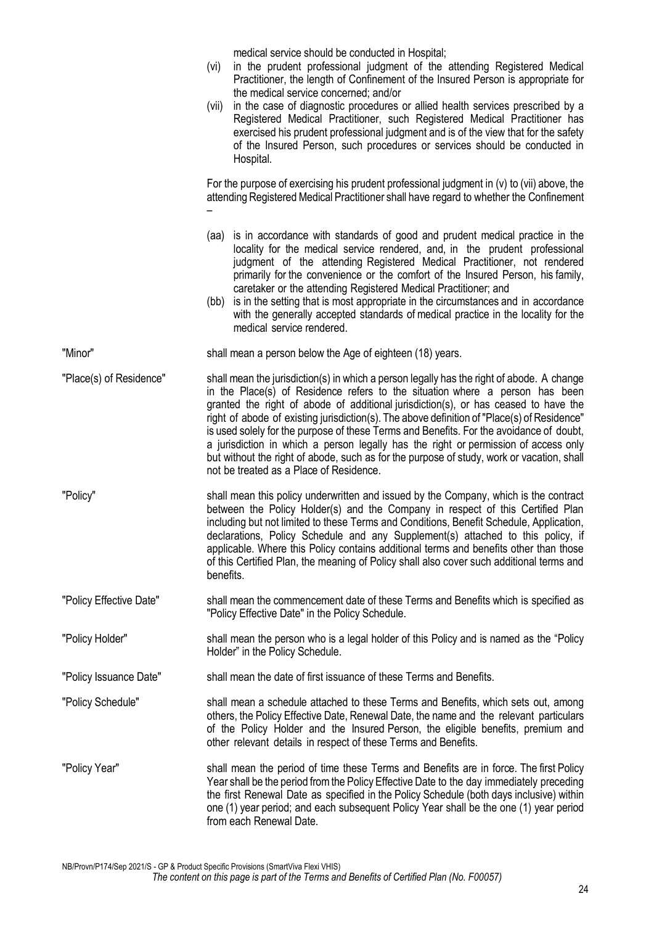medical service should be conducted in Hospital;

- (vi) in the prudent professional judgment of the attending Registered Medical Practitioner, the length of Confinement of the Insured Person is appropriate for the medical service concerned; and/or
- (vii) in the case of diagnostic procedures or allied health services prescribed by a Registered Medical Practitioner, such Registered Medical Practitioner has exercised his prudent professional judgment and is of the view that for the safety of the Insured Person, such procedures or services should be conducted in Hospital.

For the purpose of exercising his prudent professional judgment in (v) to (vii) above, the attending Registered Medical Practitioner shall have regard to whether the Confinement –

- (aa) is in accordance with standards of good and prudent medical practice in the locality for the medical service rendered, and, in the prudent professional judgment of the attending Registered Medical Practitioner, not rendered primarily for the convenience or the comfort of the Insured Person, his family, caretaker or the attending Registered Medical Practitioner; and
- (bb) is in the setting that is most appropriate in the circumstances and in accordance with the generally accepted standards of medical practice in the locality for the medical service rendered.

"Minor" shall mean a person below the Age of eighteen (18) years.

"Place(s) of Residence" shall mean the jurisdiction(s) in which a person legally has the right of abode. A change in the Place(s) of Residence refers to the situation where a person has been granted the right of abode of additional jurisdiction(s), or has ceased to have the right of abode of existing jurisdiction(s). The above definition of "Place(s) of Residence" is used solely for the purpose of these Terms and Benefits. For the avoidance of doubt, a jurisdiction in which a person legally has the right or permission of access only but without the right of abode, such as for the purpose of study, work or vacation, shall not be treated as a Place of Residence.

- "Policy" shall mean this policy underwritten and issued by the Company, which is the contract between the Policy Holder(s) and the Company in respect of this Certified Plan including but not limited to these Terms and Conditions, Benefit Schedule, Application, declarations, Policy Schedule and any Supplement(s) attached to this policy, if applicable. Where this Policy contains additional terms and benefits other than those of this Certified Plan, the meaning of Policy shall also cover such additional terms and benefits.
- "Policy Effective Date" shall mean the commencement date of these Terms and Benefits which is specified as "Policy Effective Date" in the Policy Schedule.
- "Policy Holder" shall mean the person who is a legal holder of this Policy and is named as the "Policy Holder" in the Policy Schedule.
- "Policy Issuance Date" shall mean the date of first issuance of these Terms and Benefits.
- "Policy Schedule" shall mean a schedule attached to these Terms and Benefits, which sets out, among others, the Policy Effective Date, Renewal Date, the name and the relevant particulars of the Policy Holder and the Insured Person, the eligible benefits, premium and other relevant details in respect of these Terms and Benefits.
- "Policy Year" shall mean the period of time these Terms and Benefits are in force. The first Policy Year shall be the period from the Policy Effective Date to the day immediately preceding the first Renewal Date as specified in the Policy Schedule (both days inclusive) within one (1) year period; and each subsequent Policy Year shall be the one (1) year period from each Renewal Date.

NB/Provn/P174/Sep 2021/S - GP & Product Specific Provisions (SmartViva Flexi VHIS)

#### *The content on this page is part of the Terms and Benefits of Certified Plan (No. F00057)*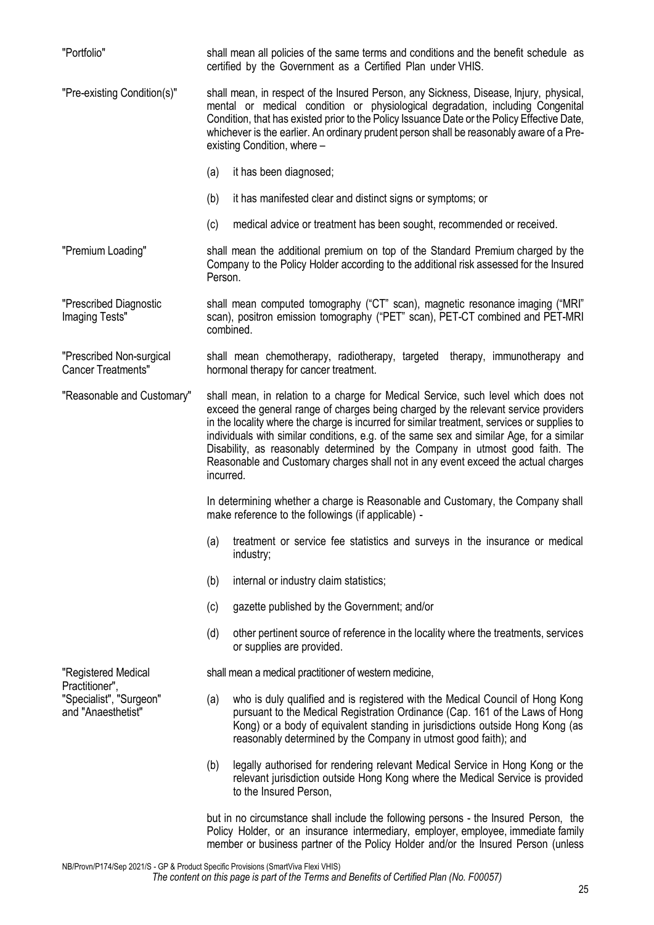"Portfolio" shall mean all policies of the same terms and conditions and the benefit schedule as certified by the Government as a Certified Plan under VHIS. "Pre-existing Condition(s)" shall mean, in respect of the Insured Person, any Sickness, Disease, Injury, physical, mental or medical condition or physiological degradation, including Congenital Condition, that has existed prior to the Policy Issuance Date or the Policy Effective Date, whichever is the earlier. An ordinary prudent person shall be reasonably aware of a Preexisting Condition, where – (a) it has been diagnosed; (b) it has manifested clear and distinct signs or symptoms; or (c) medical advice or treatment has been sought, recommended or received. "Premium Loading" shall mean the additional premium on top of the Standard Premium charged by the Company to the Policy Holder according to the additional risk assessed for the Insured Person. "Prescribed Diagnostic Imaging Tests" shall mean computed tomography ("CT" scan), magnetic resonance imaging ("MRI" scan), positron emission tomography ("PET" scan), PET-CT combined and PET-MRI combined. "Prescribed Non-surgical Cancer Treatments" shall mean chemotherapy, radiotherapy, targeted therapy, immunotherapy and hormonal therapy for cancer treatment. "Reasonable and Customary" shall mean, in relation to a charge for Medical Service, such level which does not exceed the general range of charges being charged by the relevant service providers in the locality where the charge is incurred for similar treatment, services or supplies to individuals with similar conditions, e.g. of the same sex and similar Age, for a similar Disability, as reasonably determined by the Company in utmost good faith. The Reasonable and Customary charges shall not in any event exceed the actual charges incurred. In determining whether a charge is Reasonable and Customary, the Company shall make reference to the followings (if applicable) - (a) treatment or service fee statistics and surveys in the insurance or medical industry; (b) internal or industry claim statistics; (c) gazette published by the Government; and/or (d) other pertinent source of reference in the locality where the treatments, services or supplies are provided. "Registered Medical Practitioner", "Specialist", "Surgeon" and "Anaesthetist" shall mean a medical practitioner of western medicine, (a) who is duly qualified and is registered with the Medical Council of Hong Kong pursuant to the Medical Registration Ordinance (Cap. 161 of the Laws of Hong Kong) or a body of equivalent standing in jurisdictions outside Hong Kong (as reasonably determined by the Company in utmost good faith); and (b) legally authorised for rendering relevant Medical Service in Hong Kong or the relevant jurisdiction outside Hong Kong where the Medical Service is provided to the Insured Person, but in no circumstance shall include the following persons - the Insured Person, the

Policy Holder, or an insurance intermediary, employer, employee, immediate family member or business partner of the Policy Holder and/or the Insured Person (unless